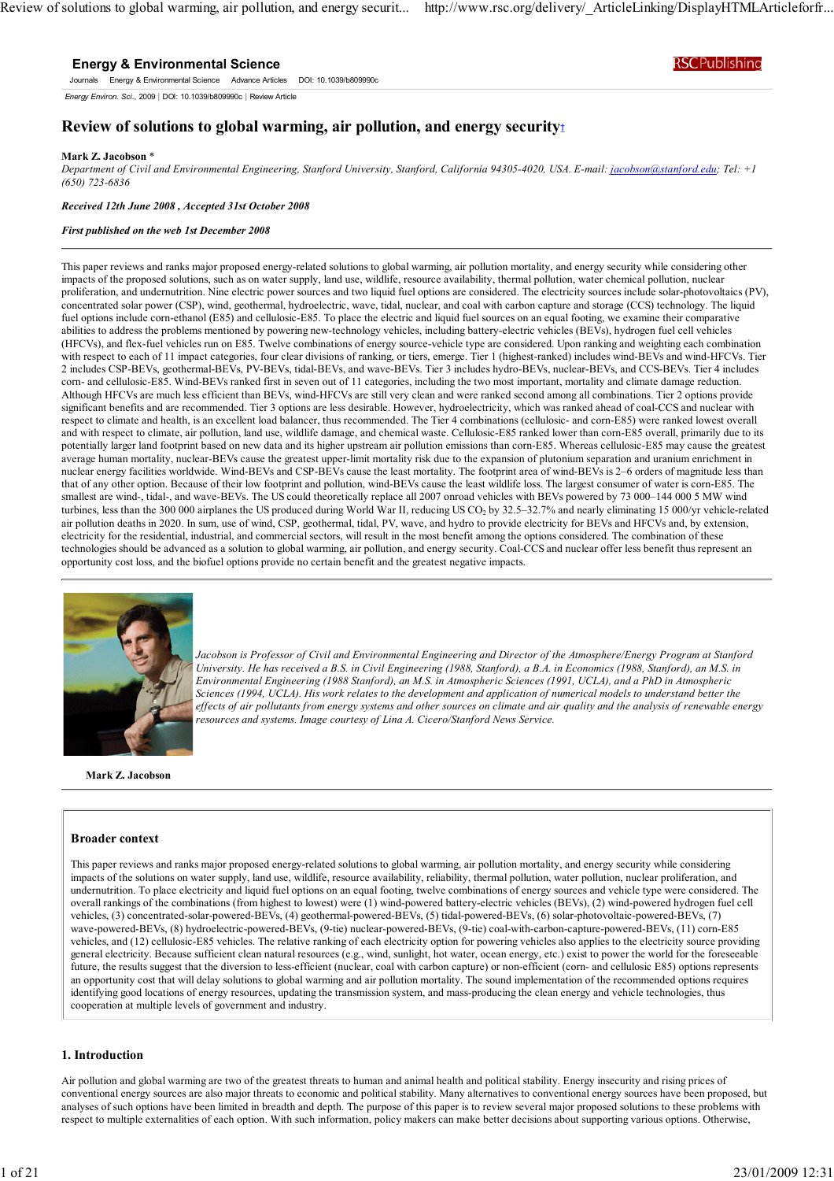**RSCPublishing** 

# Energy & Environmental Science

Journals Energy & Environmental Science Advance Articles DOI: 10.1039/b809990c

Energy Environ. Sci., 2009 | DOI: 10.1039/b809990c | Review Article

# Review of solutions to global warming, air pollution, and energy security

# Mark Z. Jacobson \*

Department of Civil and Environmental Engineering, Stanford University, Stanford, California 94305-4020, USA. E-mail: jacobson@stanford.edu; Tel: +1 (650) 723-6836

# Received 12th June 2008 , Accepted 31st October 2008

# First published on the web 1st December 2008

This paper reviews and ranks major proposed energy-related solutions to global warming, air pollution mortality, and energy security while considering other impacts of the proposed solutions, such as on water supply, land use, wildlife, resource availability, thermal pollution, water chemical pollution, nuclear proliferation, and undernutrition. Nine electric power sources and two liquid fuel options are considered. The electricity sources include solar-photovoltaics (PV), concentrated solar power (CSP), wind, geothermal, hydroelectric, wave, tidal, nuclear, and coal with carbon capture and storage (CCS) technology. The liquid fuel options include corn-ethanol (E85) and cellulosic-E85. To place the electric and liquid fuel sources on an equal footing, we examine their comparative abilities to address the problems mentioned by powering new-technology vehicles, including battery-electric vehicles (BEVs), hydrogen fuel cell vehicles (HFCVs), and flex-fuel vehicles run on E85. Twelve combinations of energy source-vehicle type are considered. Upon ranking and weighting each combination with respect to each of 11 impact categories, four clear divisions of ranking, or tiers, emerge. Tier 1 (highest-ranked) includes wind-BEVs and wind-HFCVs. Tier 2 includes CSP-BEVs, geothermal-BEVs, PV-BEVs, tidal-BEVs, and wave-BEVs. Tier 3 includes hydro-BEVs, nuclear-BEVs, and CCS-BEVs. Tier 4 includes corn- and cellulosic-E85. Wind-BEVs ranked first in seven out of 11 categories, including the two most important, mortality and climate damage reduction. Although HFCVs are much less efficient than BEVs, wind-HFCVs are still very clean and were ranked second among all combinations. Tier 2 options provide significant benefits and are recommended. Tier 3 options are less desirable. However, hydroelectricity, which was ranked ahead of coal-CCS and nuclear with respect to climate and health, is an excellent load balancer, thus recommended. The Tier 4 combinations (cellulosic- and corn-E85) were ranked lowest overall and with respect to climate, air pollution, land use, wildlife damage, and chemical waste. Cellulosic-E85 ranked lower than corn-E85 overall, primarily due to its potentially larger land footprint based on new data and its higher upstream air pollution emissions than corn-E85. Whereas cellulosic-E85 may cause the greatest average human mortality, nuclear-BEVs cause the greatest upper-limit mortality risk due to the expansion of plutonium separation and uranium enrichment in nuclear energy facilities worldwide. Wind-BEVs and CSP-BEVs cause the least mortality. The footprint area of wind-BEVs is 2–6 orders of magnitude less than that of any other option. Because of their low footprint and pollution, wind-BEVs cause the least wildlife loss. The largest consumer of water is corn-E85. The smallest are wind-, tidal-, and wave-BEVs. The US could theoretically replace all 2007 onroad vehicles with BEVs powered by 73 000–144 000 5 MW wind turbines, less than the 300 000 airplanes the US produced during World War II, reducing US CO2 by 32.5–32.7% and nearly eliminating 15 000/yr vehicle-related air pollution deaths in 2020. In sum, use of wind, CSP, geothermal, tidal, PV, wave, and hydro to provide electricity for BEVs and HFCVs and, by extension, electricity for the residential, industrial, and commercial sectors, will result in the most benefit among the options considered. The combination of these technologies should be advanced as a solution to global warming, air pollution, and energy security. Coal-CCS and nuclear offer less benefit thus represent an opportunity cost loss, and the biofuel options provide no certain benefit and the greatest negative impacts.



Mark Z. Jacobson

# Broader context

This paper reviews and ranks major proposed energy-related solutions to global warming, air pollution mortality, and energy security while considering impacts of the solutions on water supply, land use, wildlife, resource availability, reliability, thermal pollution, water pollution, nuclear proliferation, and undernutrition. To place electricity and liquid fuel options on an equal footing, twelve combinations of energy sources and vehicle type were considered. The overall rankings of the combinations (from highest to lowest) were (1) wind-powered battery-electric vehicles (BEVs), (2) wind-powered hydrogen fuel cell vehicles, (3) concentrated-solar-powered-BEVs, (4) geothermal-powered-BEVs, (5) tidal-powered-BEVs, (6) solar-photovoltaic-powered-BEVs, (7) wave-powered-BEVs, (8) hydroelectric-powered-BEVs, (9-tie) nuclear-powered-BEVs, (9-tie) coal-with-carbon-capture-powered-BEVs, (11) corn-E85 vehicles, and (12) cellulosic-E85 vehicles. The relative ranking of each electricity option for powering vehicles also applies to the electricity source providing general electricity. Because sufficient clean natural resources (e.g., wind, sunlight, hot water, ocean energy, etc.) exist to power the world for the foreseeable future, the results suggest that the diversion to less-efficient (nuclear, coal with carbon capture) or non-efficient (corn- and cellulosic E85) options represents an opportunity cost that will delay solutions to global warming and air pollution mortality. The sound implementation of the recommended options requires identifying good locations of energy resources, updating the transmission system, and mass-producing the clean energy and vehicle technologies, thus cooperation at multiple levels of government and industry.

# 1. Introduction

Air pollution and global warming are two of the greatest threats to human and animal health and political stability. Energy insecurity and rising prices of conventional energy sources are also major threats to economic and political stability. Many alternatives to conventional energy sources have been proposed, but analyses of such options have been limited in breadth and depth. The purpose of this paper is to review several major proposed solutions to these problems with respect to multiple externalities of each option. With such information, policy makers can make better decisions about supporting various options. Otherwise,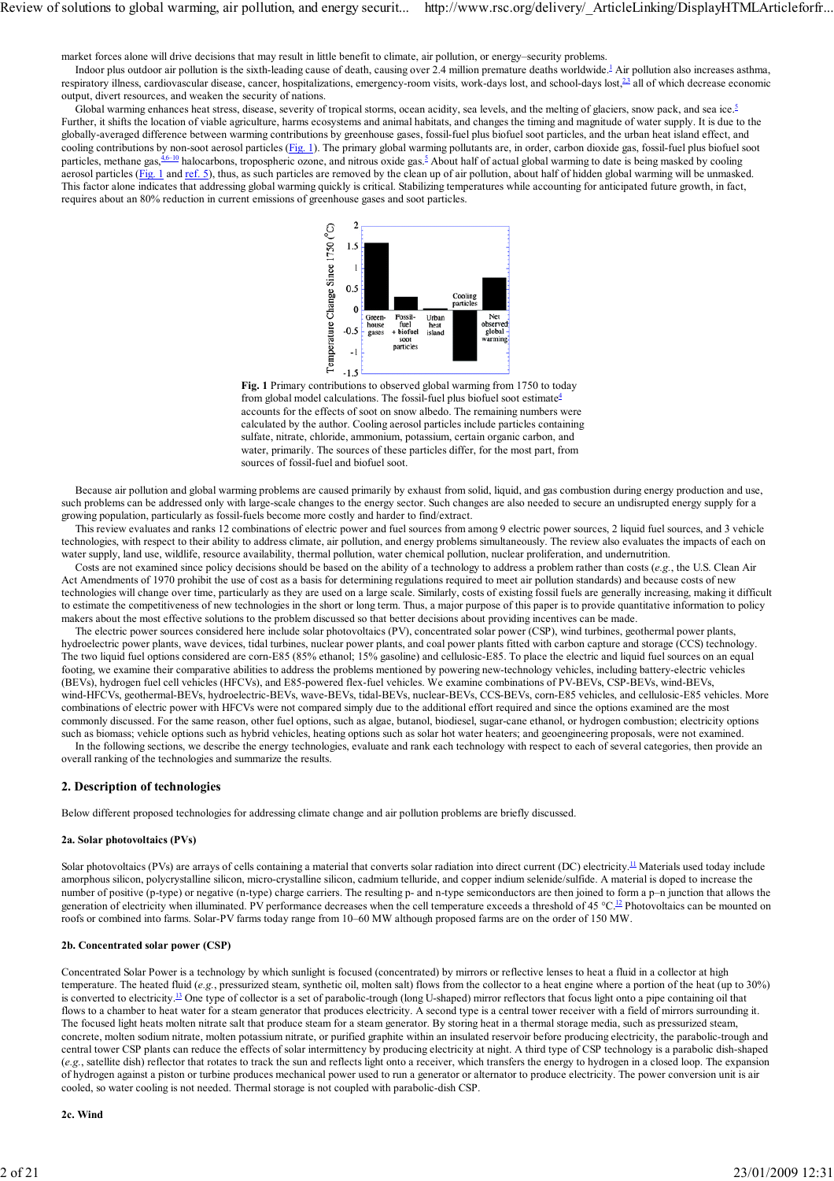market forces alone will drive decisions that may result in little benefit to climate, air pollution, or energy–security problems.

Indoor plus outdoor air pollution is the sixth-leading cause of death, causing over 2.4 million premature deaths worldwide.<sup>1</sup> Air pollution also increases asthma, respiratory illness, cardiovascular disease, cancer, hospitalizations, emergency-room visits, work-days lost, and school-days lost,<sup>2,3</sup> all of which decrease economic output, divert resources, and weaken the security of nations.

Global warming enhances heat stress, disease, severity of tropical storms, ocean acidity, sea levels, and the melting of glaciers, snow pack, and sea ice.<sup>5</sup> Further, it shifts the location of viable agriculture, harms ecosystems and animal habitats, and changes the timing and magnitude of water supply. It is due to the globally-averaged difference between warming contributions by greenhouse gases, fossil-fuel plus biofuel soot particles, and the urban heat island effect, and cooling contributions by non-soot aerosol particles  $(Fig. 1)$ . The primary global warming pollutants are, in order, carbon dioxide gas, fossil-fuel plus biofuel soot particles, methane gas, <u>46–10</u> halocarbons, tropospheric ozone, and nitrous oxide gas.<sup>5</sup> About half of actual global warming to date is being masked by cooling aerosol particles (Fig. 1 and ref. 5), thus, as such particles are removed by the clean up of air pollution, about half of hidden global warming will be unmasked. This factor alone indicates that addressing global warming quickly is critical. Stabilizing temperatures while accounting for anticipated future growth, in fact, requires about an 80% reduction in current emissions of greenhouse gases and soot particles.



Fig. 1 Primary contributions to observed global warming from 1750 to today from global model calculations. The fossil-fuel plus biofuel soot estimate $4$ accounts for the effects of soot on snow albedo. The remaining numbers were calculated by the author. Cooling aerosol particles include particles containing sulfate, nitrate, chloride, ammonium, potassium, certain organic carbon, and water, primarily. The sources of these particles differ, for the most part, from sources of fossil-fuel and biofuel soot.

Because air pollution and global warming problems are caused primarily by exhaust from solid, liquid, and gas combustion during energy production and use, such problems can be addressed only with large-scale changes to the energy sector. Such changes are also needed to secure an undisrupted energy supply for a growing population, particularly as fossil-fuels become more costly and harder to find/extract.

This review evaluates and ranks 12 combinations of electric power and fuel sources from among 9 electric power sources, 2 liquid fuel sources, and 3 vehicle technologies, with respect to their ability to address climate, air pollution, and energy problems simultaneously. The review also evaluates the impacts of each on water supply, land use, wildlife, resource availability, thermal pollution, water chemical pollution, nuclear proliferation, and undernutrition.

Costs are not examined since policy decisions should be based on the ability of a technology to address a problem rather than costs (e.g., the U.S. Clean Air Act Amendments of 1970 prohibit the use of cost as a basis for determining regulations required to meet air pollution standards) and because costs of new technologies will change over time, particularly as they are used on a large scale. Similarly, costs of existing fossil fuels are generally increasing, making it difficult to estimate the competitiveness of new technologies in the short or long term. Thus, a major purpose of this paper is to provide quantitative information to policy makers about the most effective solutions to the problem discussed so that better decisions about providing incentives can be made.

The electric power sources considered here include solar photovoltaics (PV), concentrated solar power (CSP), wind turbines, geothermal power plants, hydroelectric power plants, wave devices, tidal turbines, nuclear power plants, and coal power plants fitted with carbon capture and storage (CCS) technology. The two liquid fuel options considered are corn-E85 (85% ethanol; 15% gasoline) and cellulosic-E85. To place the electric and liquid fuel sources on an equal footing, we examine their comparative abilities to address the problems mentioned by powering new-technology vehicles, including battery-electric vehicles (BEVs), hydrogen fuel cell vehicles (HFCVs), and E85-powered flex-fuel vehicles. We examine combinations of PV-BEVs, CSP-BEVs, wind-BEVs, wind-HFCVs, geothermal-BEVs, hydroelectric-BEVs, wave-BEVs, tidal-BEVs, nuclear-BEVs, CCS-BEVs, corn-E85 vehicles, and cellulosic-E85 vehicles. More combinations of electric power with HFCVs were not compared simply due to the additional effort required and since the options examined are the most commonly discussed. For the same reason, other fuel options, such as algae, butanol, biodiesel, sugar-cane ethanol, or hydrogen combustion; electricity options such as biomass; vehicle options such as hybrid vehicles, heating options such as solar hot water heaters; and geoengineering proposals, were not examined.

In the following sections, we describe the energy technologies, evaluate and rank each technology with respect to each of several categories, then provide an overall ranking of the technologies and summarize the results.

# 2. Description of technologies

Below different proposed technologies for addressing climate change and air pollution problems are briefly discussed.

#### 2a. Solar photovoltaics (PVs)

Solar photovoltaics (PVs) are arrays of cells containing a material that converts solar radiation into direct current (DC) electricity.<sup>11</sup> Materials used today include amorphous silicon, polycrystalline silicon, micro-crystalline silicon, cadmium telluride, and copper indium selenide/sulfide. A material is doped to increase the number of positive (p-type) or negative (n-type) charge carriers. The resulting p- and n-type semiconductors are then joined to form a p–n junction that allows the generation of electricity when illuminated. PV performance decreases when the cell temperature exceeds a threshold of 45 °C.<sup>12</sup> Photovoltaics can be mounted on roofs or combined into farms. Solar-PV farms today range from 10–60 MW although proposed farms are on the order of 150 MW.

#### 2b. Concentrated solar power (CSP)

Concentrated Solar Power is a technology by which sunlight is focused (concentrated) by mirrors or reflective lenses to heat a fluid in a collector at high temperature. The heated fluid (e.g., pressurized steam, synthetic oil, molten salt) flows from the collector to a heat engine where a portion of the heat (up to 30%) is converted to electricity.<sup>13</sup> One type of collector is a set of parabolic-trough (long U-shaped) mirror reflectors that focus light onto a pipe containing oil that flows to a chamber to heat water for a steam generator that produces electricity. A second type is a central tower receiver with a field of mirrors surrounding it. The focused light heats molten nitrate salt that produce steam for a steam generator. By storing heat in a thermal storage media, such as pressurized steam, concrete, molten sodium nitrate, molten potassium nitrate, or purified graphite within an insulated reservoir before producing electricity, the parabolic-trough and central tower CSP plants can reduce the effects of solar intermittency by producing electricity at night. A third type of CSP technology is a parabolic dish-shaped (e.g., satellite dish) reflector that rotates to track the sun and reflects light onto a receiver, which transfers the energy to hydrogen in a closed loop. The expansion of hydrogen against a piston or turbine produces mechanical power used to run a generator or alternator to produce electricity. The power conversion unit is air cooled, so water cooling is not needed. Thermal storage is not coupled with parabolic-dish CSP.

# 2c. Wind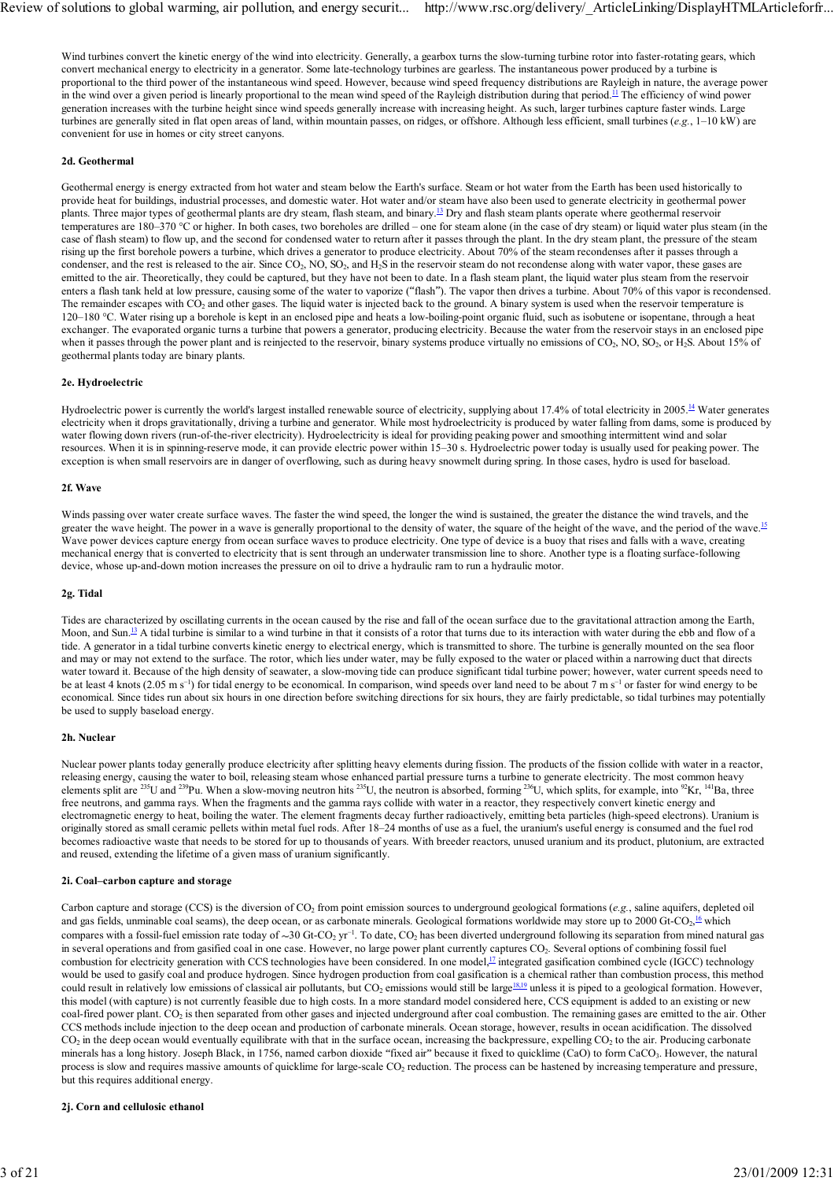Wind turbines convert the kinetic energy of the wind into electricity. Generally, a gearbox turns the slow-turning turbine rotor into faster-rotating gears, which convert mechanical energy to electricity in a generator. Some late-technology turbines are gearless. The instantaneous power produced by a turbine is proportional to the third power of the instantaneous wind speed. However, because wind speed frequency distributions are Rayleigh in nature, the average power in the wind over a given period is linearly proportional to the mean wind speed of the Rayleigh distribution during that period.<sup>11</sup> The efficiency of wind power generation increases with the turbine height since wind speeds generally increase with increasing height. As such, larger turbines capture faster winds. Large turbines are generally sited in flat open areas of land, within mountain passes, on ridges, or offshore. Although less efficient, small turbines (e.g., 1-10 kW) are convenient for use in homes or city street canyons.

# 2d. Geothermal

Geothermal energy is energy extracted from hot water and steam below the Earth's surface. Steam or hot water from the Earth has been used historically to provide heat for buildings, industrial processes, and domestic water. Hot water and/or steam have also been used to generate electricity in geothermal power plants. Three major types of geothermal plants are dry steam, flash steam, and binary.<sup>13</sup> Dry and flash steam plants operate where geothermal reservoir temperatures are 180–370 °C or higher. In both cases, two boreholes are drilled – one for steam alone (in the case of dry steam) or liquid water plus steam (in the case of flash steam) to flow up, and the second for condensed water to return after it passes through the plant. In the dry steam plant, the pressure of the steam rising up the first borehole powers a turbine, which drives a generator to produce electricity. About 70% of the steam recondenses after it passes through a condenser, and the rest is released to the air. Since CO<sub>2</sub>, NO, SO<sub>2</sub>, and H<sub>2</sub>S in the reservoir steam do not recondense along with water vapor, these gases are emitted to the air. Theoretically, they could be captured, but they have not been to date. In a flash steam plant, the liquid water plus steam from the reservoir enters a flash tank held at low pressure, causing some of the water to vaporize ("flash"). The vapor then drives a turbine. About 70% of this vapor is recondensed. The remainder escapes with CO<sub>2</sub> and other gases. The liquid water is injected back to the ground. A binary system is used when the reservoir temperature is 120–180 °C. Water rising up a borehole is kept in an enclosed pipe and heats a low-boiling-point organic fluid, such as isobutene or isopentane, through a heat exchanger. The evaporated organic turns a turbine that powers a generator, producing electricity. Because the water from the reservoir stays in an enclosed pipe when it passes through the power plant and is reinjected to the reservoir, binary systems produce virtually no emissions of  $CO<sub>2</sub>$ , NO,  $SO<sub>2</sub>$ , or H<sub>2</sub>S. About 15% of geothermal plants today are binary plants.

# 2e. Hydroelectric

Hydroelectric power is currently the world's largest installed renewable source of electricity, supplying about 17.4% of total electricity in 2005.<sup>14</sup> Water generates electricity when it drops gravitationally, driving a turbine and generator. While most hydroelectricity is produced by water falling from dams, some is produced by water flowing down rivers (run-of-the-river electricity). Hydroelectricity is ideal for providing peaking power and smoothing intermittent wind and solar resources. When it is in spinning-reserve mode, it can provide electric power within 15–30 s. Hydroelectric power today is usually used for peaking power. The exception is when small reservoirs are in danger of overflowing, such as during heavy snowmelt during spring. In those cases, hydro is used for baseload.

# 2f. Wave

Winds passing over water create surface waves. The faster the wind speed, the longer the wind is sustained, the greater the distance the wind travels, and the greater the wave height. The power in a wave is generally proportional to the density of water, the square of the height of the wave, and the period of the wave.<sup>15</sup> Wave power devices capture energy from ocean surface waves to produce electricity. One type of device is a buoy that rises and falls with a wave, creating mechanical energy that is converted to electricity that is sent through an underwater transmission line to shore. Another type is a floating surface-following device, whose up-and-down motion increases the pressure on oil to drive a hydraulic ram to run a hydraulic motor.

# 2g. Tidal

Tides are characterized by oscillating currents in the ocean caused by the rise and fall of the ocean surface due to the gravitational attraction among the Earth, Moon, and Sun.<sup>13</sup> A tidal turbine is similar to a wind turbine in that it consists of a rotor that turns due to its interaction with water during the ebb and flow of a tide. A generator in a tidal turbine converts kinetic energy to electrical energy, which is transmitted to shore. The turbine is generally mounted on the sea floor and may or may not extend to the surface. The rotor, which lies under water, may be fully exposed to the water or placed within a narrowing duct that directs water toward it. Because of the high density of seawater, a slow-moving tide can produce significant tidal turbine power; however, water current speeds need to be at least 4 knots (2.05 m s<sup>-1</sup>) for tidal energy to be economical. In comparison, wind speeds over land need to be about 7 m s<sup>-1</sup> or faster for wind energy to be economical. Since tides run about six hours in one direction before switching directions for six hours, they are fairly predictable, so tidal turbines may potentially be used to supply baseload energy.

#### 2h. Nuclear

Nuclear power plants today generally produce electricity after splitting heavy elements during fission. The products of the fission collide with water in a reactor, releasing energy, causing the water to boil, releasing steam whose enhanced partial pressure turns a turbine to generate electricity. The most common heavy elements split are <sup>235</sup>U and <sup>239</sup>Pu. When a slow-moving neutron hits <sup>235</sup>U, the neutron is absorbed, forming <sup>236</sup>U, which splits, for example, into <sup>92</sup>Kr, <sup>141</sup>Ba, three free neutrons, and gamma rays. When the fragments and the gamma rays collide with water in a reactor, they respectively convert kinetic energy and electromagnetic energy to heat, boiling the water. The element fragments decay further radioactively, emitting beta particles (high-speed electrons). Uranium is originally stored as small ceramic pellets within metal fuel rods. After 18–24 months of use as a fuel, the uranium's useful energy is consumed and the fuel rod becomes radioactive waste that needs to be stored for up to thousands of years. With breeder reactors, unused uranium and its product, plutonium, are extracted and reused, extending the lifetime of a given mass of uranium significantly.

# 2i. Coal–carbon capture and storage

Carbon capture and storage (CCS) is the diversion of  $CO_2$  from point emission sources to underground geological formations (e.g., saline aquifers, depleted oil and gas fields, unminable coal seams), the deep ocean, or as carbonate minerals. Geological formations worldwide may store up to 2000 Gt-CO<sub>2</sub>,<sup>16</sup> which compares with a fossil-fuel emission rate today of ~30 Gt-CO<sub>2</sub> yr<sup>-1</sup>. To date, CO<sub>2</sub> has been diverted underground following its separation from mined natural gas in several operations and from gasified coal in one case. However, no large power plant currently captures CO<sub>2</sub>. Several options of combining fossil fuel combustion for electricity generation with CCS technologies have been considered. In one model,<sup>17</sup> integrated gasification combined cycle (IGCC) technology would be used to gasify coal and produce hydrogen. Since hydrogen production from coal gasification is a chemical rather than combustion process, this method could result in relatively low emissions of classical air pollutants, but CO<sub>2</sub> emissions would still be large<sup>18,19</sup> unless it is piped to a geological formation. However, this model (with capture) is not currently feasible due to high costs. In a more standard model considered here, CCS equipment is added to an existing or new coal-fired power plant. CO<sub>2</sub> is then separated from other gases and injected underground after coal combustion. The remaining gases are emitted to the air. Other CCS methods include injection to the deep ocean and production of carbonate minerals. Ocean storage, however, results in ocean acidification. The dissolved  $CO<sub>2</sub>$  in the deep ocean would eventually equilibrate with that in the surface ocean, increasing the backpressure, expelling  $CO<sub>2</sub>$  to the air. Producing carbonate minerals has a long history. Joseph Black, in 1756, named carbon dioxide "fixed air" because it fixed to quicklime (CaO) to form CaCO<sub>3</sub>. However, the natural process is slow and requires massive amounts of quicklime for large-scale CO<sub>2</sub> reduction. The process can be hastened by increasing temperature and pressure, but this requires additional energy.

#### 2j. Corn and cellulosic ethanol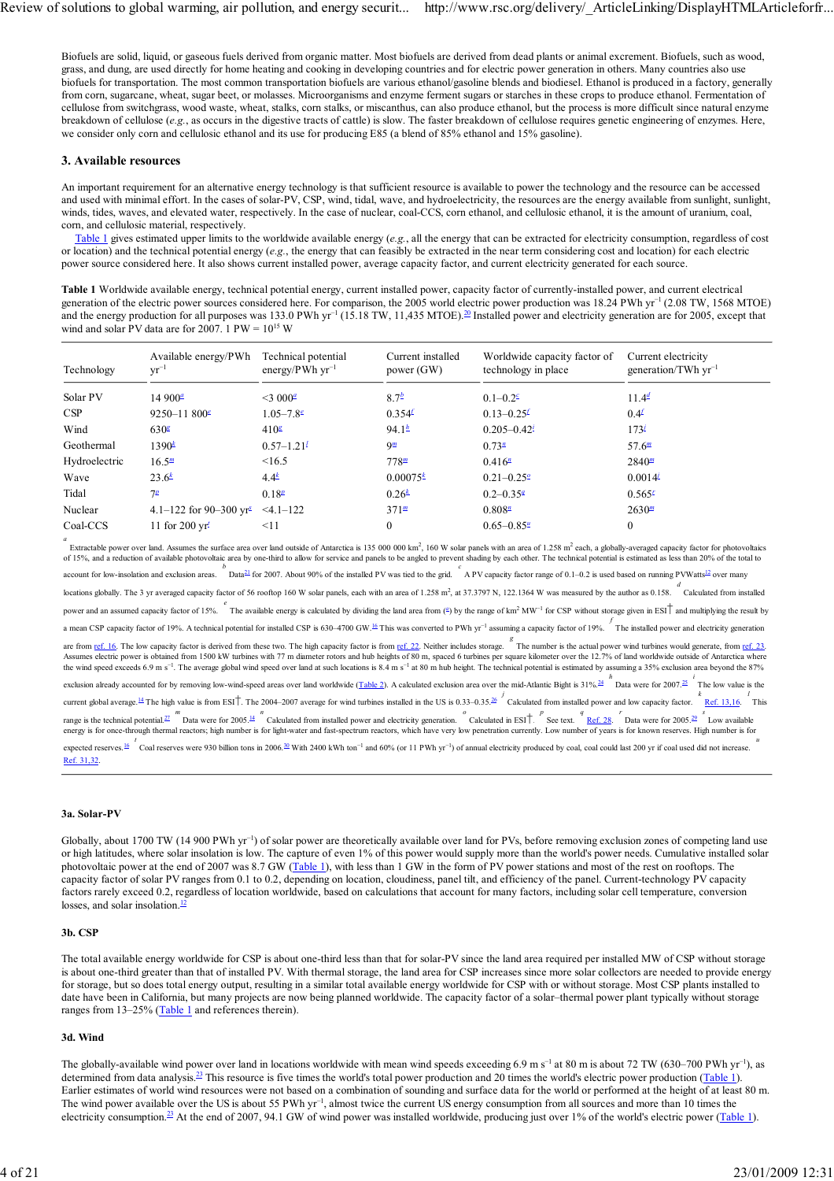Biofuels are solid, liquid, or gaseous fuels derived from organic matter. Most biofuels are derived from dead plants or animal excrement. Biofuels, such as wood, grass, and dung, are used directly for home heating and cooking in developing countries and for electric power generation in others. Many countries also use biofuels for transportation. The most common transportation biofuels are various ethanol/gasoline blends and biodiesel. Ethanol is produced in a factory, generally from corn, sugarcane, wheat, sugar beet, or molasses. Microorganisms and enzyme ferment sugars or starches in these crops to produce ethanol. Fermentation of cellulose from switchgrass, wood waste, wheat, stalks, corn stalks, or miscanthus, can also produce ethanol, but the process is more difficult since natural enzyme breakdown of cellulose (e.g., as occurs in the digestive tracts of cattle) is slow. The faster breakdown of cellulose requires genetic engineering of enzymes. Here, we consider only corn and cellulosic ethanol and its use for producing E85 (a blend of 85% ethanol and 15% gasoline).

# 3. Available resources

An important requirement for an alternative energy technology is that sufficient resource is available to power the technology and the resource can be accessed and used with minimal effort. In the cases of solar-PV, CSP, wind, tidal, wave, and hydroelectricity, the resources are the energy available from sunlight, sunlight, winds, tides, waves, and elevated water, respectively. In the case of nuclear, coal-CCS, corn ethanol, and cellulosic ethanol, it is the amount of uranium, coal, corn, and cellulosic material, respectively.

Table 1 gives estimated upper limits to the worldwide available energy (e.g., all the energy that can be extracted for electricity consumption, regardless of cost or location) and the technical potential energy (e.g., the energy that can feasibly be extracted in the near term considering cost and location) for each electric power source considered here. It also shows current installed power, average capacity factor, and current electricity generated for each source.

Table 1 Worldwide available energy, technical potential energy, current installed power, capacity factor of currently-installed power, and current electrical generation of the electric power sources considered here. For comparison, the 2005 world electric power production was 18.24 PWh yr<sup>−1</sup> (2.08 TW, 1568 MTOE) and the energy production for all purposes was 133.0 PWh yr<sup>-1</sup> (15.18 TW, 11,435 MTOE).<sup>20</sup> Installed power and electricity generation are for 2005, except that wind and solar PV data are for 2007. 1 PW =  $10^{15}$  W

| Available energy/PWh<br>$\rm{vr}^{-1}$<br>Technology |                           | Technical potential<br>energy/PWh $yr^{-1}$ | Current installed<br>power (GW) | Worldwide capacity factor of<br>technology in place | Current electricity<br>generation/TWh $yr^{-1}$ |  |  |
|------------------------------------------------------|---------------------------|---------------------------------------------|---------------------------------|-----------------------------------------------------|-------------------------------------------------|--|--|
| Solar PV                                             | 14900 <sup>4</sup>        | $<$ 3 000 <sup><math>\mu</math></sup>       | 8.7 <sup>b</sup>                | $0.1 - 0.2^{\epsilon}$                              | $11.4^d$                                        |  |  |
| CSP                                                  | 9250-11 $800^e$           | $1.05 - 7.8$ <sup>e</sup>                   | 0.354                           | $0.13 - 0.25$                                       | 0.4 <sup>2</sup>                                |  |  |
| Wind                                                 | 630 <sup>g</sup>          | 410 <sup>g</sup>                            | $94.1^{\underline{h}}$          | $0.205 - 0.42^{\underline{i}}$                      | $173^{\frac{1}{2}}$                             |  |  |
| Geothermal                                           | 1390 <sup>k</sup>         | $0.57 - 1.21$                               | $Q_m$                           | $0.73^{\mu}$                                        | $57.6^m$                                        |  |  |
| Hydroelectric                                        | $16.5^m$                  | $\leq 16.5$                                 | $778^m$                         | $0.416$ <sup>n</sup>                                | $2840^{\frac{m}{2}}$                            |  |  |
| Wave                                                 | $23.6^k$                  | $4.4^{k}$                                   | $0.00075^k$                     | $0.21 - 0.25^{\circ}$                               | $0.0014^{\ell}$                                 |  |  |
| Tidal                                                | 7P                        | 0.18 <sup>p</sup>                           | $0.26^{\underline{k}}$          | $0.2 - 0.35$                                        | 0.565                                           |  |  |
| Nuclear                                              | 4.1–122 for 90–300 $yr^2$ | $<$ 4.1–122                                 | 371 <sup>m</sup>                | $0.808$ <sup>2</sup>                                | $2630^{\frac{m}{2}}$                            |  |  |
| Coal-CCS                                             | 11 for 200 $\text{vr}^t$  | $\leq$ 11                                   | $\boldsymbol{0}$                | $0.65 - 0.85$                                       | $\mathbf{0}$                                    |  |  |

a Extractable power over land. Assumes the surface area over land outside of Antarctica is 135 000 000 km<sup>2</sup>, 160 W solar panels with an area of 1.258 m<sup>2</sup> each, a globally-averaged capacity factor for photovoltaics of 15%, and a reduction of available photovoltaic area by one-third to allow for service and panels to be angled to prevent shading by each other. The technical potential is estimated as less than 20% of the total to <sup>b</sup><br>account for low-insolation and exclusion areas. Data<sup>21</sup> for 2007. About 90% of the installed PV was tied to the grid. A PV capacity factor range of 0.1–0.2 is used based on running PVWatts<sup>12</sup> over many locations globally. The 3 yr averaged capacity factor of 56 rooftop 160 W solar panels, each with an area of 1.258 m<sup>2</sup>, at 37.3797 N, 122.1364 W was measured by the author as 0.158. Calculated from installed power and an assumed capacity factor of 15%. The available energy is calculated by dividing the land area from (4) by the range of km<sup>2</sup> MW<sup>-1</sup> for CSP without storage given in ESI<sup>†</sup> and multiplying the result by dividin a mean CSP capacity factor of 19%. A technical potential for installed CSP is 630–4700 GW.<sup>16</sup> This was converted to PWh yr<sup>-1</sup> assuming a capacity factor of 19%. The installed power and electricity generation are from ref. 16. The low capacity factor is derived from these two. The high capacity factor is from ref. 22. Neither includes storage. <sup>g</sup> The number is the actual power wind turbines would generate, from ref. 23. Assumes electric power is obtained from 1500 kW turbines with 77 m diameter rotors and hub heights of 80 m, spaced 6 turbines per square kilometer over the 12.7% of land worldwide outside of Antarctica where the wind speed exceeds 6.9 m s<sup>-1</sup>. The average global wind speed over land at such locations is 8.4 m s<sup>-1</sup> at 80 m hub height. The technical potential is estimated by assuming a 35% exclusion area beyond the 87% exclusion already accounted for by removing low-wind-speed areas over land worldwide (Table 2). A calculated exclusion area over the mid-Atlantic Bight is 31%.<sup>24</sup> Data were for 2007.<sup>25</sup> The low value is the current global average.<sup>14</sup> The high value is from ESI<sup>†</sup>. The 2004–2007 average for wind turbines installed in the US is 0.33–0.35.<sup>26</sup> *Calculated from installed power and low capacity factor.* Ref. 13,16. This range is the technical potential.<sup>27</sup>  $\frac{m}{2}$  Data were for 2005.<sup>14</sup> Calculated from installed power and electricity generation. Calculated in ESI<sup>†</sup>. See text.  $\frac{q}{\text{Ref. 28}}$  Pata were for 2005.<sup>29</sup> Low available energy is for once-through thermal reactors; high number is for light-water and fast-spectrum reactors, which have very low penetration currently. Low number of years is for known reserves. High number is for t coal reserves.<sup>16</sup> coal reserves were 930 billion tons in 2006.<sup>30</sup> With 2400 kWh ton<sup>-1</sup> and 60% (or 11 PWh yr<sup>-1</sup>) of annual electricity produced by coal, coal could last 200 yr if coal used did not increase. u Ref. 31,32.

# 3a. Solar-PV

Globally, about 1700 TW (14 900 PWh yr<sup>-1</sup>) of solar power are theoretically available over land for PVs, before removing exclusion zones of competing land use or high latitudes, where solar insolation is low. The capture of even 1% of this power would supply more than the world's power needs. Cumulative installed solar photovoltaic power at the end of 2007 was 8.7 GW (Table 1), with less than 1 GW in the form of PV power stations and most of the rest on rooftops. The capacity factor of solar PV ranges from 0.1 to 0.2, depending on location, cloudiness, panel tilt, and efficiency of the panel. Current-technology PV capacity factors rarely exceed 0.2, regardless of location worldwide, based on calculations that account for many factors, including solar cell temperature, conversion losses, and solar insolation. $\frac{12}{2}$ 

# 3b. CSP

The total available energy worldwide for CSP is about one-third less than that for solar-PV since the land area required per installed MW of CSP without storage is about one-third greater than that of installed PV. With thermal storage, the land area for CSP increases since more solar collectors are needed to provide energy for storage, but so does total energy output, resulting in a similar total available energy worldwide for CSP with or without storage. Most CSP plants installed to date have been in California, but many projects are now being planned worldwide. The capacity factor of a solar–thermal power plant typically without storage ranges from 13–25% (Table 1 and references therein).

# 3d. Wind

The globally-available wind power over land in locations worldwide with mean wind speeds exceeding 6.9 m s<sup>-1</sup> at 80 m is about 72 TW (630–700 PWh yr<sup>-1</sup>), as determined from data analysis.<sup>23</sup> This resource is five times the world's total power production and 20 times the world's electric power production (Table 1). Earlier estimates of world wind resources were not based on a combination of sounding and surface data for the world or performed at the height of at least 80 m. The wind power available over the US is about 55 PWh yr<sup>-1</sup>, almost twice the current US energy consumption from all sources and more than 10 times the electricity consumption.<sup>23</sup> At the end of 2007, 94.1 GW of wind power was installed worldwide, producing just over 1% of the world's electric power (Table 1).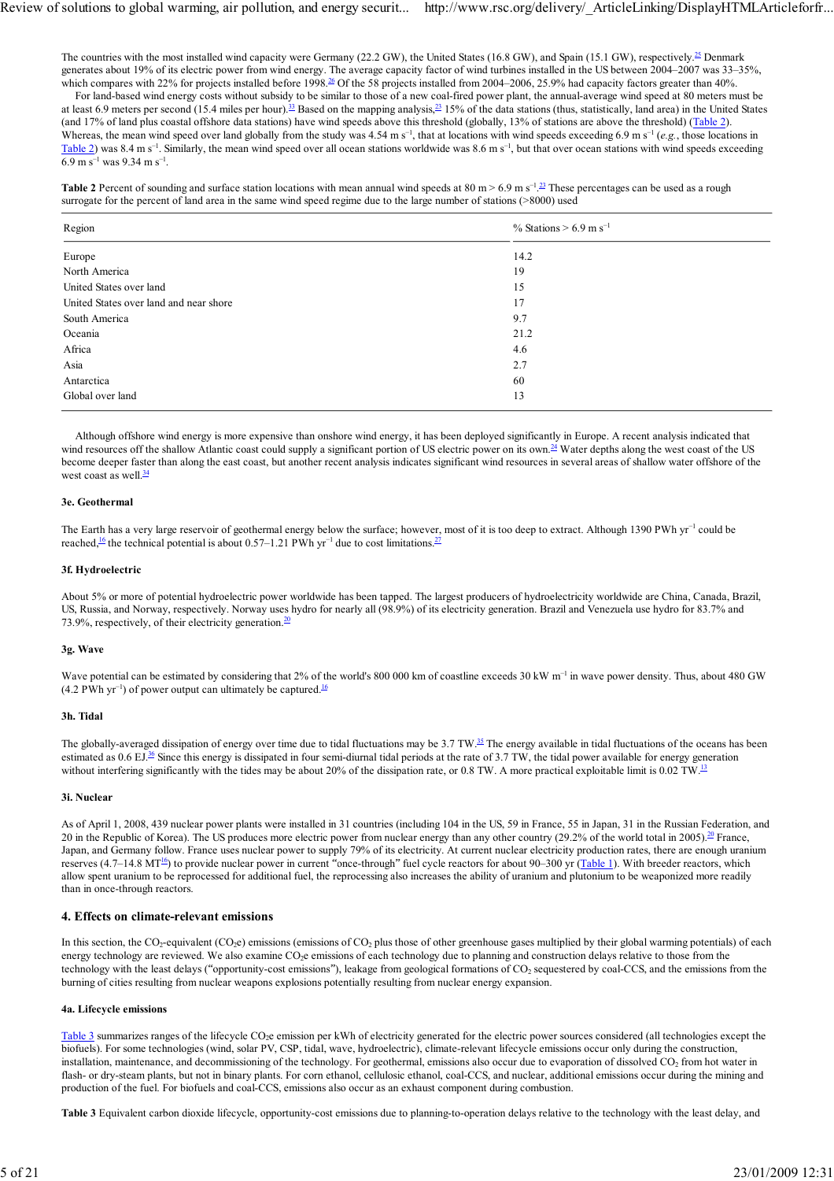The countries with the most installed wind capacity were Germany (22.2 GW), the United States (16.8 GW), and Spain (15.1 GW), respectively.<sup>25</sup> Denmark generates about 19% of its electric power from wind energy. The average capacity factor of wind turbines installed in the US between 2004–2007 was 33–35%, which compares with 22% for projects installed before 1998.<sup>26</sup> Of the 58 projects installed from 2004–2006, 25.9% had capacity factors greater than 40%.

For land-based wind energy costs without subsidy to be similar to those of a new coal-fired power plant, the annual-average wind speed at 80 meters must be at least 6.9 meters per second (15.4 miles per hour).<sup>33</sup> Based on the mapping analysis,<sup>23</sup> 15% of the data stations (thus, statistically, land area) in the United States (and 17% of land plus coastal offshore data stations) have wind speeds above this threshold (globally, 13% of stations are above the threshold) (Table 2). Whereas, the mean wind speed over land globally from the study was 4.54 m s<sup>-1</sup>, that at locations with wind speeds exceeding 6.9 m s<sup>-1</sup> (e.g., those locations in Table 2) was 8.4 m s<sup>−1</sup>. Similarly, the mean wind speed over all ocean stations worldwide was 8.6 m s<sup>−1</sup>, but that over ocean stations with wind speeds exceeding 6.9 m s<sup>-1</sup> was 9.34 m s<sup>-1</sup>.

Table 2 Percent of sounding and surface station locations with mean annual wind speeds at 80 m > 6.9 m s<sup>-1</sup>.<sup>23</sup> These percentages can be used as a rough surrogate for the percent of land area in the same wind speed regime due to the large number of stations (>8000) used

| Region                                 | % Stations > 6.9 m s <sup>-1</sup> |
|----------------------------------------|------------------------------------|
| Europe                                 | 14.2                               |
| North America                          | 19                                 |
| United States over land                | 15                                 |
| United States over land and near shore | 17                                 |
| South America                          | 9.7                                |
| Oceania                                | 21.2                               |
| Africa                                 | 4.6                                |
| Asia                                   | 2.7                                |
| Antarctica                             | 60                                 |
| Global over land                       | 13                                 |

Although offshore wind energy is more expensive than onshore wind energy, it has been deployed significantly in Europe. A recent analysis indicated that wind resources off the shallow Atlantic coast could supply a significant portion of US electric power on its own. $^{24}$  Water depths along the west coast of the US become deeper faster than along the east coast, but another recent analysis indicates significant wind resources in several areas of shallow water offshore of the west coast as well. $\frac{34}{3}$ 

# 3e. Geothermal

The Earth has a very large reservoir of geothermal energy below the surface; however, most of it is too deep to extract. Although 1390 PWh yr<sup>-1</sup> could be reached,<sup>16</sup> the technical potential is about 0.57–1.21 PWh yr<sup>-1</sup> due to cost limitations.<sup>27</sup>

# 3f. Hydroelectric

About 5% or more of potential hydroelectric power worldwide has been tapped. The largest producers of hydroelectricity worldwide are China, Canada, Brazil, US, Russia, and Norway, respectively. Norway uses hydro for nearly all (98.9%) of its electricity generation. Brazil and Venezuela use hydro for 83.7% and 73.9%, respectively, of their electricity generation. $\frac{20}{3}$ 

# 3g. Wave

Wave potential can be estimated by considering that 2% of the world's 800 000 km of coastline exceeds 30 kW m<sup>-1</sup> in wave power density. Thus, about 480 GW (4.2 PWh yr<sup>-1</sup>) of power output can ultimately be captured.<sup>16</sup>

# 3h. Tidal

The globally-averaged dissipation of energy over time due to tidal fluctuations may be  $3.7 \text{ TW.}^{\underline{35}}$  The energy available in tidal fluctuations of the oceans has been estimated as  $0.6$  EJ.<sup>36</sup> Since this energy is dissipated in four semi-diurnal tidal periods at the rate of 3.7 TW, the tidal power available for energy generation without interfering significantly with the tides may be about 20% of the dissipation rate, or 0.8 TW. A more practical exploitable limit is 0.02 TW.<sup>13</sup>

#### 3i. Nuclear

As of April 1, 2008, 439 nuclear power plants were installed in 31 countries (including 104 in the US, 59 in France, 55 in Japan, 31 in the Russian Federation, and 20 in the Republic of Korea). The US produces more electric power from nuclear energy than any other country (29.2% of the world total in 2005).<sup>20</sup> France, Japan, and Germany follow. France uses nuclear power to supply 79% of its electricity. At current nuclear electricity production rates, there are enough uranium reserves  $(4.7-14.8 \text{ MT}^{16})$  to provide nuclear power in current "once-through" fuel cycle reactors for about 90-300 yr (Table 1). With breeder reactors, which allow spent uranium to be reprocessed for additional fuel, the reprocessing also increases the ability of uranium and plutonium to be weaponized more readily than in once-through reactors.

# 4. Effects on climate-relevant emissions

In this section, the CO<sub>2</sub>-equivalent (CO<sub>2</sub>e) emissions (emissions of CO<sub>2</sub> plus those of other greenhouse gases multiplied by their global warming potentials) of each energy technology are reviewed. We also examine CO<sub>2</sub>e emissions of each technology due to planning and construction delays relative to those from the technology with the least delays ("opportunity-cost emissions"), leakage from geological formations of  $CO<sub>2</sub>$  sequestered by coal-CCS, and the emissions from the burning of cities resulting from nuclear weapons explosions potentially resulting from nuclear energy expansion.

#### 4a. Lifecycle emissions

Table 3 summarizes ranges of the lifecycle CO<sub>2</sub>e emission per kWh of electricity generated for the electric power sources considered (all technologies except the biofuels). For some technologies (wind, solar PV, CSP, tidal, wave, hydroelectric), climate-relevant lifecycle emissions occur only during the construction, installation, maintenance, and decommissioning of the technology. For geothermal, emissions also occur due to evaporation of dissolved CO<sub>2</sub> from hot water in flash- or dry-steam plants, but not in binary plants. For corn ethanol, cellulosic ethanol, coal-CCS, and nuclear, additional emissions occur during the mining and production of the fuel. For biofuels and coal-CCS, emissions also occur as an exhaust component during combustion.

Table 3 Equivalent carbon dioxide lifecycle, opportunity-cost emissions due to planning-to-operation delays relative to the technology with the least delay, and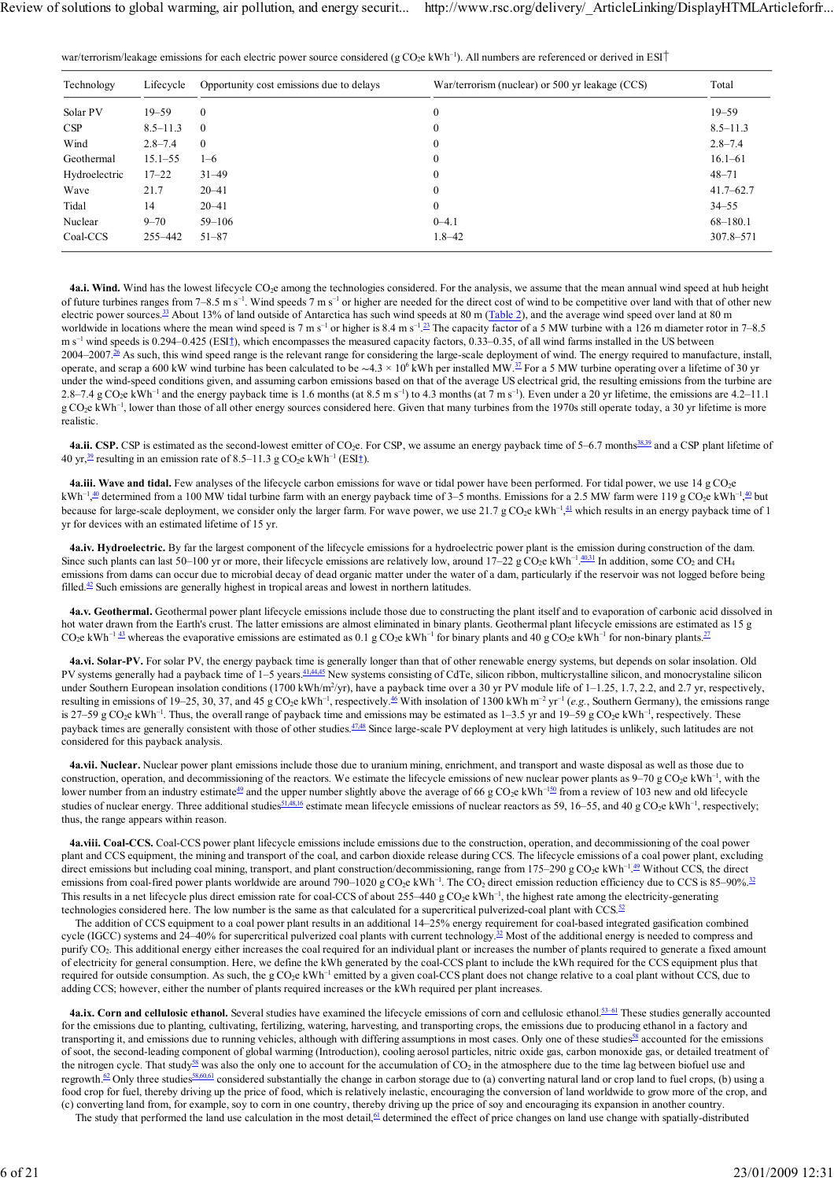| war/terrorism/leakage emissions for each electric power source considered (g CO <sub>2</sub> e kWh <sup>-1</sup> ). All numbers are referenced or derived in ESI |  |  |
|------------------------------------------------------------------------------------------------------------------------------------------------------------------|--|--|
|                                                                                                                                                                  |  |  |

| Technology<br>Lifecycle |              | Opportunity cost emissions due to delays | War/terrorism (nuclear) or 500 yr leakage (CCS) | Total         |  |
|-------------------------|--------------|------------------------------------------|-------------------------------------------------|---------------|--|
| Solar PV                | $19 - 59$    | $\mathbf{0}$                             | $\theta$                                        | $19 - 59$     |  |
| CSP                     | $8.5 - 11.3$ | $\overline{0}$                           | 0                                               | $8.5 - 11.3$  |  |
| Wind                    | $2.8 - 7.4$  | $\theta$                                 | $\theta$                                        | $2.8 - 7.4$   |  |
| Geothermal              | $15.1 - 55$  | $1 - 6$                                  | $\theta$                                        | $16.1 - 61$   |  |
| Hydroelectric           | $17 - 22$    | $31 - 49$                                | $\theta$                                        | $48 - 71$     |  |
| Wave                    | 21.7         | $20 - 41$                                | $\mathbf{0}$                                    | $41.7 - 62.7$ |  |
| Tidal                   | 14           | $20 - 41$                                | $\boldsymbol{0}$                                | $34 - 55$     |  |
| Nuclear                 | $9 - 70$     | 59-106                                   | $0 - 4.1$                                       | $68 - 180.1$  |  |
| Coal-CCS                | 255-442      | $51 - 87$                                | $1.8 - 42$                                      | 307.8-571     |  |

4a.**i.** Wind, Wind has the lowest lifecycle CO<sub>2</sub>e among the technologies considered. For the analysis, we assume that the mean annual wind speed at hub height of future turbines ranges from  $7-8.5$  m s<sup> $-1$ </sup>. Wind speeds  $7 \text{ m s}^{-1}$  or higher are needed for the direct cost of wind to be competitive over land with that of other new electric power sources.<sup>33</sup> About 13% of land outside of Antarctica has such wind speeds at 80 m (Table 2), and the average wind speed over land at 80 m worldwide in locations where the mean wind speed is 7 m s<sup>−1</sup> or higher is 8.4 m s<sup>−1</sup>.23 The capacity factor of a 5 MW turbine with a 126 m diameter rotor in 7–8.5 m s<sup>-1</sup> wind speeds is 0.294–0.425 (ESI<sup>†</sup>), which encompasses the measured capacity factors, 0.33–0.35, of all wind farms installed in the US between  $2004-2007\frac{36}{5}$  As such, this wind speed range is the relevant range for considering the large-scale deployment of wind. The energy required to manufacture, install, operate, and scrap a 600 kW wind turbine has been calculated to be  $\sim 4.3 \times 10^6$  kWh per installed MW.<sup>37</sup> For a 5 MW turbine operating over a lifetime of 30 yr under the wind-speed conditions given, and assuming carbon emissions based on that of the average US electrical grid, the resulting emissions from the turbine are 2.8–7.4 g CO<sub>2</sub>e kWh<sup>-1</sup> and the energy payback time is 1.6 months (at 8.5 m s<sup>-1</sup>) to 4.3 months (at 7 m s<sup>-1</sup>). Even under a 20 yr lifetime, the emissions are 4.2–11.1 g CO<sub>2</sub>e kWh<sup>-1</sup>, lower than those of all other energy sources considered here. Given that many turbines from the 1970s still operate today, a 30 yr lifetime is more realistic.

4a.ii. CSP. CSP is estimated as the second-lowest emitter of CO<sub>2</sub>e. For CSP, we assume an energy payback time of 5–6.7 months<sup>38,39</sup> and a CSP plant lifetime of 40 yr,<sup>39</sup> resulting in an emission rate of 8.5–11.3 g CO<sub>2</sub>e kWh<sup>-1</sup> (ESI<sup>†</sup>).

4a.iii. Wave and tidal. Few analyses of the lifecycle carbon emissions for wave or tidal power have been performed. For tidal power, we use 14 g CO<sub>2</sub>e kWh<sup>-1,40</sup> determined from a 100 MW tidal turbine farm with an energy payback time of 3–5 months. Emissions for a 2.5 MW farm were 119 g CO<sub>2</sub>e kWh<sup>-1,40</sup> but because for large-scale deployment, we consider only the larger farm. For wave power, we use 21.7 g CO<sub>2</sub>e kWh<sup>-1,41</sup> which results in an energy payback time of 1 yr for devices with an estimated lifetime of 15 yr.

4a.iv. Hydroelectric. By far the largest component of the lifecycle emissions for a hydroelectric power plant is the emission during construction of the dam. Since such plants can last 50–100 yr or more, their lifecycle emissions are relatively low, around 17–22 g CO<sub>2</sub>e kWh<sup>-1,4031</sup> In addition, some CO<sub>2</sub> and CH<sub>4</sub> emissions from dams can occur due to microbial decay of dead organic matter under the water of a dam, particularly if the reservoir was not logged before being filled. $42$  Such emissions are generally highest in tropical areas and lowest in northern latitudes.

4a.v. Geothermal. Geothermal power plant lifecycle emissions include those due to constructing the plant itself and to evaporation of carbonic acid dissolved in hot water drawn from the Earth's crust. The latter emissions are almost eliminated in binary plants. Geothermal plant lifecycle emissions are estimated as 15 g  $CO_2e$  kWh<sup>-1 43</sup> whereas the evaporative emissions are estimated as 0.1 g CO<sub>2</sub>e kWh<sup>-1</sup> for binary plants and 40 g CO<sub>2</sub>e kWh<sup>-1</sup> for non-binary plants.<sup>27</sup>

4a.vi. Solar-PV. For solar PV, the energy payback time is generally longer than that of other renewable energy systems, but depends on solar insolation. Old PV systems generally had a payback time of 1–5 years.  $41.44.45$  New systems consisting of CdTe, silicon ribbon, multicrystalline silicon, and monocrystaline silicon under Southern European insolation conditions (1700 kWh/m<sup>2</sup>/yr), have a payback time over a 30 yr PV module life of 1–1.25, 1.7, 2.2, and 2.7 yr, respectively, resulting in emissions of 19–25, 30, 37, and 45 g CO<sub>2</sub>e kWh<sup>-1</sup>, respectively.<sup>46</sup> With insolation of 1300 kWh m<sup>-2</sup> yr<sup>-1</sup> (e.g., Southern Germany), the emissions range is 27–59 g CO<sub>2</sub>e kWh<sup>-1</sup>. Thus, the overall range of payback time and emissions may be estimated as 1–3.5 yr and 19–59 g CO<sub>2</sub>e kWh<sup>-1</sup>, respectively. These payback times are generally consistent with those of other studies.<sup>47,48</sup> Since large-scale PV deployment at very high latitudes is unlikely, such latitudes are not considered for this payback analysis.

4a.vii. Nuclear. Nuclear power plant emissions include those due to uranium mining, enrichment, and transport and waste disposal as well as those due to construction, operation, and decommissioning of the reactors. We estimate the lifecycle emissions of new nuclear power plants as  $9-70$  g CO<sub>2</sub>e kWh<sup>-1</sup>, with the lower number from an industry estimate<sup>49</sup> and the upper number slightly above the average of 66 g CO<sub>2</sub>e kWh<sup>-150</sup> from a review of 103 new and old lifecycle studies of nuclear energy. Three additional studies51,48,16 estimate mean lifecycle emissions of nuclear reactors as 59, 16–55, and 40 g CO<sub>2</sub>e kWh<sup>-1</sup>, respectively; thus, the range appears within reason.

4a.viii. Coal-CCS. Coal-CCS power plant lifecycle emissions include emissions due to the construction, operation, and decommissioning of the coal power plant and CCS equipment, the mining and transport of the coal, and carbon dioxide release during CCS. The lifecycle emissions of a coal power plant, excluding direct emissions but including coal mining, transport, and plant construction/decommissioning, range from 175–290 g CO<sub>2</sub>e kWh<sup>-1 40</sup> Without CCS, the direct emissions from coal-fired power plants worldwide are around 790–1020 g CO<sub>2</sub>e kWh<sup>-1</sup>. The CO<sub>2</sub> direct emission reduction efficiency due to CCS is 85–90%.<sup>32</sup> This results in a net lifecycle plus direct emission rate for coal-CCS of about 255–440 g CO<sub>2</sub>e kWh<sup>-1</sup>, the highest rate among the electricity-generating technologies considered here. The low number is the same as that calculated for a supercritical pulverized-coal plant with  $CCS<sub>2</sub>$ 

The addition of CCS equipment to a coal power plant results in an additional 14–25% energy requirement for coal-based integrated gasification combined cycle (IGCC) systems and 24–40% for supercritical pulverized coal plants with current technology.<sup>32</sup> Most of the additional energy is needed to compress and purify CO<sub>2</sub>. This additional energy either increases the coal required for an individual plant or increases the number of plants required to generate a fixed amount of electricity for general consumption. Here, we define the kWh generated by the coal-CCS plant to include the kWh required for the CCS equipment plus that required for outside consumption. As such, the g CO2e kWh−1 emitted by a given coal-CCS plant does not change relative to a coal plant without CCS, due to adding CCS; however, either the number of plants required increases or the kWh required per plant increases.

4a.ix. Corn and cellulosic ethanol. Several studies have examined the lifecycle emissions of corn and cellulosic ethanol.<sup>53–61</sup> These studies generally accounted for the emissions due to planting, cultivating, fertilizing, watering, harvesting, and transporting crops, the emissions due to producing ethanol in a factory and transporting it, and emissions due to running vehicles, although with differing assumptions in most cases. Only one of these studies<sup>58</sup> accounted for the emissions of soot, the second-leading component of global warming (Introduction), cooling aerosol particles, nitric oxide gas, carbon monoxide gas, or detailed treatment of the nitrogen cycle. That study<sup>58</sup> was also the only one to account for the accumulation of CO<sub>2</sub> in the atmosphere due to the time lag between biofuel use and regrowth.<sup>62</sup> Only three studies<sup>58,60,61</sup> considered substantially the change in carbon storage due to (a) converting natural land or crop land to fuel crops, (b) using a food crop for fuel, thereby driving up the price of food, which is relatively inelastic, encouraging the conversion of land worldwide to grow more of the crop, and (c) converting land from, for example, soy to corn in one country, thereby driving up the price of soy and encouraging its expansion in another country.

The study that performed the land use calculation in the most detail,<sup>61</sup> determined the effect of price changes on land use change with spatially-distributed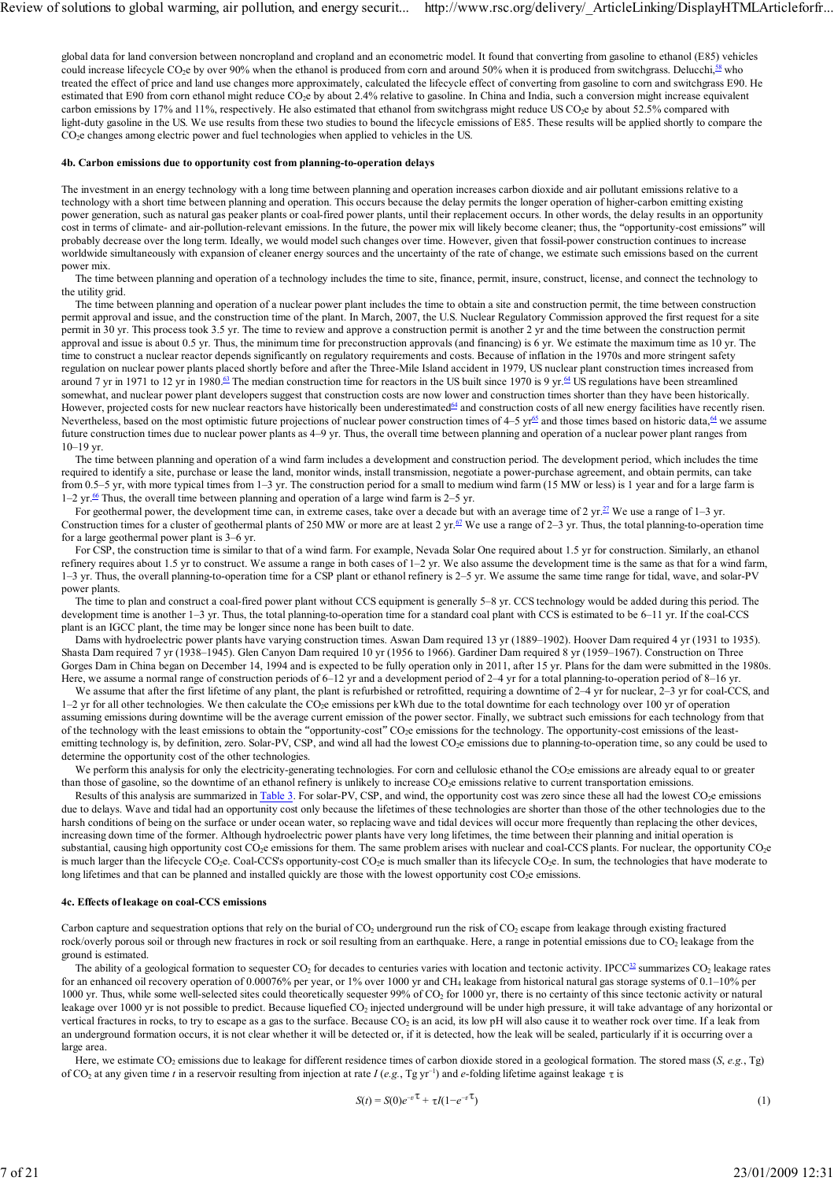global data for land conversion between noncropland and cropland and an econometric model. It found that converting from gasoline to ethanol (E85) vehicles could increase lifecycle CO<sub>2</sub>e by over 90% when the ethanol is produced from corn and around 50% when it is produced from switchgrass. Delucchi, <sup>58</sup> who treated the effect of price and land use changes more approximately, calculated the lifecycle effect of converting from gasoline to corn and switchgrass E90. He estimated that E90 from corn ethanol might reduce CO<sub>2</sub>e by about 2.4% relative to gasoline. In China and India, such a conversion might increase equivalent carbon emissions by 17% and 11%, respectively. He also estimated that ethanol from switchgrass might reduce US CO<sub>2</sub>e by about 52.5% compared with light-duty gasoline in the US. We use results from these two studies to bound the lifecycle emissions of E85. These results will be applied shortly to compare the CO2e changes among electric power and fuel technologies when applied to vehicles in the US.

#### 4b. Carbon emissions due to opportunity cost from planning-to-operation delays

The investment in an energy technology with a long time between planning and operation increases carbon dioxide and air pollutant emissions relative to a technology with a short time between planning and operation. This occurs because the delay permits the longer operation of higher-carbon emitting existing power generation, such as natural gas peaker plants or coal-fired power plants, until their replacement occurs. In other words, the delay results in an opportunity cost in terms of climate- and air-pollution-relevant emissions. In the future, the power mix will likely become cleaner; thus, the "opportunity-cost emissions" will probably decrease over the long term. Ideally, we would model such changes over time. However, given that fossil-power construction continues to increase worldwide simultaneously with expansion of cleaner energy sources and the uncertainty of the rate of change, we estimate such emissions based on the current power mix.

The time between planning and operation of a technology includes the time to site, finance, permit, insure, construct, license, and connect the technology to the utility grid.

The time between planning and operation of a nuclear power plant includes the time to obtain a site and construction permit, the time between construction permit approval and issue, and the construction time of the plant. In March, 2007, the U.S. Nuclear Regulatory Commission approved the first request for a site permit in 30 yr. This process took 3.5 yr. The time to review and approve a construction permit is another 2 yr and the time between the construction permit approval and issue is about 0.5 yr. Thus, the minimum time for preconstruction approvals (and financing) is 6 yr. We estimate the maximum time as 10 yr. The time to construct a nuclear reactor depends significantly on regulatory requirements and costs. Because of inflation in the 1970s and more stringent safety regulation on nuclear power plants placed shortly before and after the Three-Mile Island accident in 1979, US nuclear plant construction times increased from around 7 yr in 1971 to 12 yr in 1980.<sup>63</sup> The median construction time for reactors in the US built since 1970 is 9 yr.<sup>64</sup> US regulations have been streamlined somewhat, and nuclear power plant developers suggest that construction costs are now lower and construction times shorter than they have been historically. However, projected costs for new nuclear reactors have historically been underestimated<sup>64</sup> and construction costs of all new energy facilities have recently risen. Nevertheless, based on the most optimistic future projections of nuclear power construction times of 4–5 yr<sup>65</sup> and those times based on historic data,<sup>64</sup> we assume future construction times due to nuclear power plants as 4–9 yr. Thus, the overall time between planning and operation of a nuclear power plant ranges from  $10-19$  yr.

The time between planning and operation of a wind farm includes a development and construction period. The development period, which includes the time required to identify a site, purchase or lease the land, monitor winds, install transmission, negotiate a power-purchase agreement, and obtain permits, can take from 0.5–5 yr, with more typical times from 1–3 yr. The construction period for a small to medium wind farm (15 MW or less) is 1 year and for a large farm is 1–2 yr.<sup>66</sup> Thus, the overall time between planning and operation of a large wind farm is 2–5 yr.

For geothermal power, the development time can, in extreme cases, take over a decade but with an average time of 2 yr.<sup>27</sup> We use a range of 1–3 yr. Construction times for a cluster of geothermal plants of 250 MW or more are at least 2 yr.<sup>67</sup> We use a range of 2–3 yr. Thus, the total planning-to-operation time for a large geothermal power plant is 3–6 yr.

For CSP, the construction time is similar to that of a wind farm. For example, Nevada Solar One required about 1.5 yr for construction. Similarly, an ethanol refinery requires about 1.5 yr to construct. We assume a range in both cases of  $1-2$  yr. We also assume the development time is the same as that for a wind farm, 1–3 yr. Thus, the overall planning-to-operation time for a CSP plant or ethanol refinery is 2–5 yr. We assume the same time range for tidal, wave, and solar-PV power plants.

The time to plan and construct a coal-fired power plant without CCS equipment is generally 5–8 yr. CCS technology would be added during this period. The development time is another 1–3 yr. Thus, the total planning-to-operation time for a standard coal plant with CCS is estimated to be 6–11 yr. If the coal-CCS plant is an IGCC plant, the time may be longer since none has been built to date.

Dams with hydroelectric power plants have varying construction times. Aswan Dam required 13 yr (1889–1902). Hoover Dam required 4 yr (1931 to 1935). Shasta Dam required 7 yr (1938–1945). Glen Canyon Dam required 10 yr (1956 to 1966). Gardiner Dam required 8 yr (1959–1967). Construction on Three Gorges Dam in China began on December 14, 1994 and is expected to be fully operation only in 2011, after 15 yr. Plans for the dam were submitted in the 1980s. Here, we assume a normal range of construction periods of 6–12 yr and a development period of 2–4 yr for a total planning-to-operation period of 8–16 yr.

We assume that after the first lifetime of any plant, the plant is refurbished or retrofitted, requiring a downtime of 2–4 yr for nuclear, 2–3 yr for coal-CCS, and  $1-2$  yr for all other technologies. We then calculate the CO<sub>2</sub>e emissions per kWh due to the total downtime for each technology over 100 yr of operation assuming emissions during downtime will be the average current emission of the power sector. Finally, we subtract such emissions for each technology from that of the technology with the least emissions to obtain the "opportunity-cost" CO<sub>2</sub>e emissions for the technology. The opportunity-cost emissions of the leastemitting technology is, by definition, zero. Solar-PV, CSP, and wind all had the lowest CO<sub>2</sub>e emissions due to planning-to-operation time, so any could be used to determine the opportunity cost of the other technologies.

We perform this analysis for only the electricity-generating technologies. For corn and cellulosic ethanol the CO<sub>2</sub>e emissions are already equal to or greater than those of gasoline, so the downtime of an ethanol refinery is unlikely to increase CO<sub>2</sub>e emissions relative to current transportation emissions.

Results of this analysis are summarized in Table 3. For solar-PV, CSP, and wind, the opportunity cost was zero since these all had the lowest CO<sub>2</sub>e emissions due to delays. Wave and tidal had an opportunity cost only because the lifetimes of these technologies are shorter than those of the other technologies due to the harsh conditions of being on the surface or under ocean water, so replacing wave and tidal devices will occur more frequently than replacing the other devices, increasing down time of the former. Although hydroelectric power plants have very long lifetimes, the time between their planning and initial operation is substantial, causing high opportunity cost CO<sub>2</sub>e emissions for them. The same problem arises with nuclear and coal-CCS plants. For nuclear, the opportunity CO<sub>2</sub>e is much larger than the lifecycle CO<sub>2</sub>e. Coal-CCS's opportunity-cost CO<sub>2</sub>e is much smaller than its lifecycle CO<sub>2</sub>e. In sum, the technologies that have moderate to long lifetimes and that can be planned and installed quickly are those with the lowest opportunity cost CO<sub>2</sub>e emissions.

# 4c. Effects of leakage on coal-CCS emissions

Carbon capture and sequestration options that rely on the burial of  $CO<sub>2</sub>$  underground run the risk of  $CO<sub>2</sub>$  escape from leakage through existing fractured rock/overly porous soil or through new fractures in rock or soil resulting from an earthquake. Here, a range in potential emissions due to CO<sub>2</sub> leakage from the ground is estimated.

The ability of a geological formation to sequester  $CO_2$  for decades to centuries varies with location and tectonic activity. IPCC $^{22}$  summarizes  $CO_2$  leakage rates for an enhanced oil recovery operation of 0.00076% per year, or 1% over 1000 yr and CH<sub>4</sub> leakage from historical natural gas storage systems of 0.1–10% per 1000 yr. Thus, while some well-selected sites could theoretically sequester 99% of CO2 for 1000 yr, there is no certainty of this since tectonic activity or natural leakage over 1000 yr is not possible to predict. Because liquefied CO<sub>2</sub> injected underground will be under high pressure, it will take advantage of any horizontal or vertical fractures in rocks, to try to escape as a gas to the surface. Because  $CO<sub>2</sub>$  is an acid, its low pH will also cause it to weather rock over time. If a leak from an underground formation occurs, it is not clear whether it will be detected or, if it is detected, how the leak will be sealed, particularly if it is occurring over a large area.

Here, we estimate CO<sub>2</sub> emissions due to leakage for different residence times of carbon dioxide stored in a geological formation. The stored mass (S, e.g., Tg) of CO<sub>2</sub> at any given time t in a reservoir resulting from injection at rate  $I(e.g., Tgyr^{-1})$  and e-folding lifetime against leakage  $\tau$  is

$$
S(t) = S(0)e^{-t/\mathbb{L}} + \tau I(1 - e^{-t/\mathbb{L}})
$$
\n(1)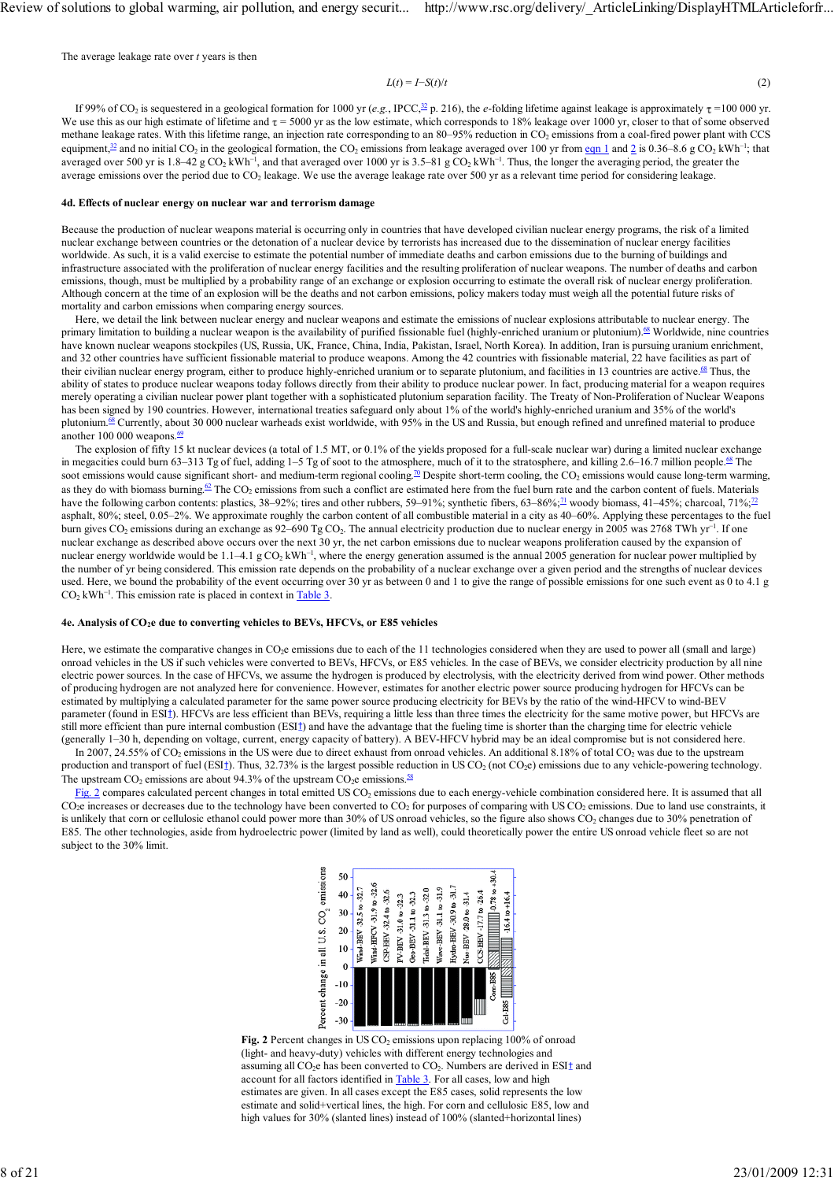The average leakage rate over  $t$  years is then

$$
L(t) = I - S(t)/t
$$
\n<sup>(2)</sup>

If 99% of CO<sub>2</sub> is sequestered in a geological formation for 1000 yr (e.g., IPCC,<sup>32</sup> p. 216), the e-folding lifetime against leakage is approximately  $\tau$  =100 000 yr. We use this as our high estimate of lifetime and  $\tau = 5000$  yr as the low estimate, which corresponds to 18% leakage over 1000 yr, closer to that of some observed methane leakage rates. With this lifetime range, an injection rate corresponding to an 80–95% reduction in CO<sub>2</sub> emissions from a coal-fired power plant with CCS equipment,<sup>32</sup> and no initial CO<sub>2</sub> in the geological formation, the CO<sub>2</sub> emissions from leakage averaged over 100 yr from eqn 1 and 2 is 0.36–8.6 g CO<sub>2</sub> kWh<sup>-1</sup>; that averaged over 500 yr is 1.8–42 g CO<sub>2</sub> kWh<sup>-1</sup>, and that averaged over 1000 yr is 3.5–81 g CO<sub>2</sub> kWh<sup>-1</sup>. Thus, the longer the averaging period, the greater the average emissions over the period due to CO<sub>2</sub> leakage. We use the average leakage rate over 500 yr as a relevant time period for considering leakage.

#### 4d. Effects of nuclear energy on nuclear war and terrorism damage

Because the production of nuclear weapons material is occurring only in countries that have developed civilian nuclear energy programs, the risk of a limited nuclear exchange between countries or the detonation of a nuclear device by terrorists has increased due to the dissemination of nuclear energy facilities worldwide. As such, it is a valid exercise to estimate the potential number of immediate deaths and carbon emissions due to the burning of buildings and infrastructure associated with the proliferation of nuclear energy facilities and the resulting proliferation of nuclear weapons. The number of deaths and carbon emissions, though, must be multiplied by a probability range of an exchange or explosion occurring to estimate the overall risk of nuclear energy proliferation. Although concern at the time of an explosion will be the deaths and not carbon emissions, policy makers today must weigh all the potential future risks of mortality and carbon emissions when comparing energy sources.

Here, we detail the link between nuclear energy and nuclear weapons and estimate the emissions of nuclear explosions attributable to nuclear energy. The primary limitation to building a nuclear weapon is the availability of purified fissionable fuel (highly-enriched uranium or plutonium).<sup>68</sup> Worldwide, nine countries have known nuclear weapons stockpiles (US, Russia, UK, France, China, India, Pakistan, Israel, North Korea). In addition, Iran is pursuing uranium enrichment, and 32 other countries have sufficient fissionable material to produce weapons. Among the 42 countries with fissionable material, 22 have facilities as part of their civilian nuclear energy program, either to produce highly-enriched uranium or to separate plutonium, and facilities in 13 countries are active.<sup>68</sup> Thus, the ability of states to produce nuclear weapons today follows directly from their ability to produce nuclear power. In fact, producing material for a weapon requires merely operating a civilian nuclear power plant together with a sophisticated plutonium separation facility. The Treaty of Non-Proliferation of Nuclear Weapons has been signed by 190 countries. However, international treaties safeguard only about 1% of the world's highly-enriched uranium and 35% of the world's plutonium.<sup>68</sup> Currently, about 30 000 nuclear warheads exist worldwide, with 95% in the US and Russia, but enough refined and unrefined material to produce another 100 000 weapons. $\frac{69}{6}$ 

The explosion of fifty 15 kt nuclear devices (a total of 1.5 MT, or 0.1% of the yields proposed for a full-scale nuclear war) during a limited nuclear exchange in megacities could burn 63–313 Tg of fuel, adding 1–5 Tg of soot to the atmosphere, much of it to the stratosphere, and killing 2.6–16.7 million people.<sup>68</sup> The soot emissions would cause significant short- and medium-term regional cooling.<sup>70</sup> Despite short-term cooling, the CO<sub>2</sub> emissions would cause long-term warming, as they do with biomass burning.<sup> $\Omega$ </sup> The CO<sub>2</sub> emissions from such a conflict are estimated here from the fuel burn rate and the carbon content of fuels. Materials have the following carbon contents: plastics, 38–92%; tires and other rubbers, 59–91%; synthetic fibers, 63–86%;<sup>71</sup> woody biomass, 41–45%; charcoal, 71%;<sup>72</sup> asphalt, 80%; steel, 0.05–2%. We approximate roughly the carbon content of all combustible material in a city as 40–60%. Applying these percentages to the fuel burn gives CO<sub>2</sub> emissions during an exchange as 92–690 Tg CO<sub>2</sub>. The annual electricity production due to nuclear energy in 2005 was 2768 TWh yr<sup>-1</sup>. If one nuclear exchange as described above occurs over the next 30 yr, the net carbon emissions due to nuclear weapons proliferation caused by the expansion of nuclear energy worldwide would be 1.1–4.1 g CO<sub>2</sub> kWh<sup>-1</sup>, where the energy generation assumed is the annual 2005 generation for nuclear power multiplied by the number of yr being considered. This emission rate depends on the probability of a nuclear exchange over a given period and the strengths of nuclear devices used. Here, we bound the probability of the event occurring over 30 yr as between 0 and 1 to give the range of possible emissions for one such event as 0 to 4.1 g  $CO<sub>2</sub>$  kWh<sup>-1</sup>. This emission rate is placed in context in Table 3.

# 4e. Analysis of CO2e due to converting vehicles to BEVs, HFCVs, or E85 vehicles

Here, we estimate the comparative changes in CO<sub>2</sub>e emissions due to each of the 11 technologies considered when they are used to power all (small and large) onroad vehicles in the US if such vehicles were converted to BEVs, HFCVs, or E85 vehicles. In the case of BEVs, we consider electricity production by all nine electric power sources. In the case of HFCVs, we assume the hydrogen is produced by electrolysis, with the electricity derived from wind power. Other methods of producing hydrogen are not analyzed here for convenience. However, estimates for another electric power source producing hydrogen for HFCVs can be estimated by multiplying a calculated parameter for the same power source producing electricity for BEVs by the ratio of the wind-HFCV to wind-BEV parameter (found in ESI1). HFCVs are less efficient than BEVs, requiring a little less than three times the electricity for the same motive power, but HFCVs are still more efficient than pure internal combustion (ESI1) and have the advantage that the fueling time is shorter than the charging time for electric vehicle (generally 1–30 h, depending on voltage, current, energy capacity of battery). A BEV-HFCV hybrid may be an ideal compromise but is not considered here.

In 2007, 24.55% of CO<sub>2</sub> emissions in the US were due to direct exhaust from onroad vehicles. An additional 8.18% of total CO<sub>2</sub> was due to the upstream production and transport of fuel (ESI1). Thus, 32.73% is the largest possible reduction in US CO<sub>2</sub> (not CO<sub>2</sub>e) emissions due to any vehicle-powering technology. The upstream  $CO_2$  emissions are about 94.3% of the upstream  $CO_2e$  emissions.<sup>58</sup>

Fig. 2 compares calculated percent changes in total emitted US CO<sub>2</sub> emissions due to each energy-vehicle combination considered here. It is assumed that all  $CO_2$ e increases or decreases due to the technology have been converted to  $CO_2$  for purposes of comparing with US  $CO_2$  emissions. Due to land use constraints, it is unlikely that corn or cellulosic ethanol could power more than 30% of US onroad vehicles, so the figure also shows CO<sub>2</sub> changes due to 30% penetration of E85. The other technologies, aside from hydroelectric power (limited by land as well), could theoretically power the entire US onroad vehicle fleet so are not subject to the 30% limit.



Fig. 2 Percent changes in US  $CO<sub>2</sub>$  emissions upon replacing 100% of onroad (light- and heavy-duty) vehicles with different energy technologies and assuming all  $CO<sub>2</sub>e$  has been converted to  $CO<sub>2</sub>$ . Numbers are derived in ESI<sup> $<sub>1</sub>$ </sup> and</sup></sub> account for all factors identified in Table 3. For all cases, low and high estimates are given. In all cases except the E85 cases, solid represents the low estimate and solid+vertical lines, the high. For corn and cellulosic E85, low and high values for 30% (slanted lines) instead of 100% (slanted+horizontal lines)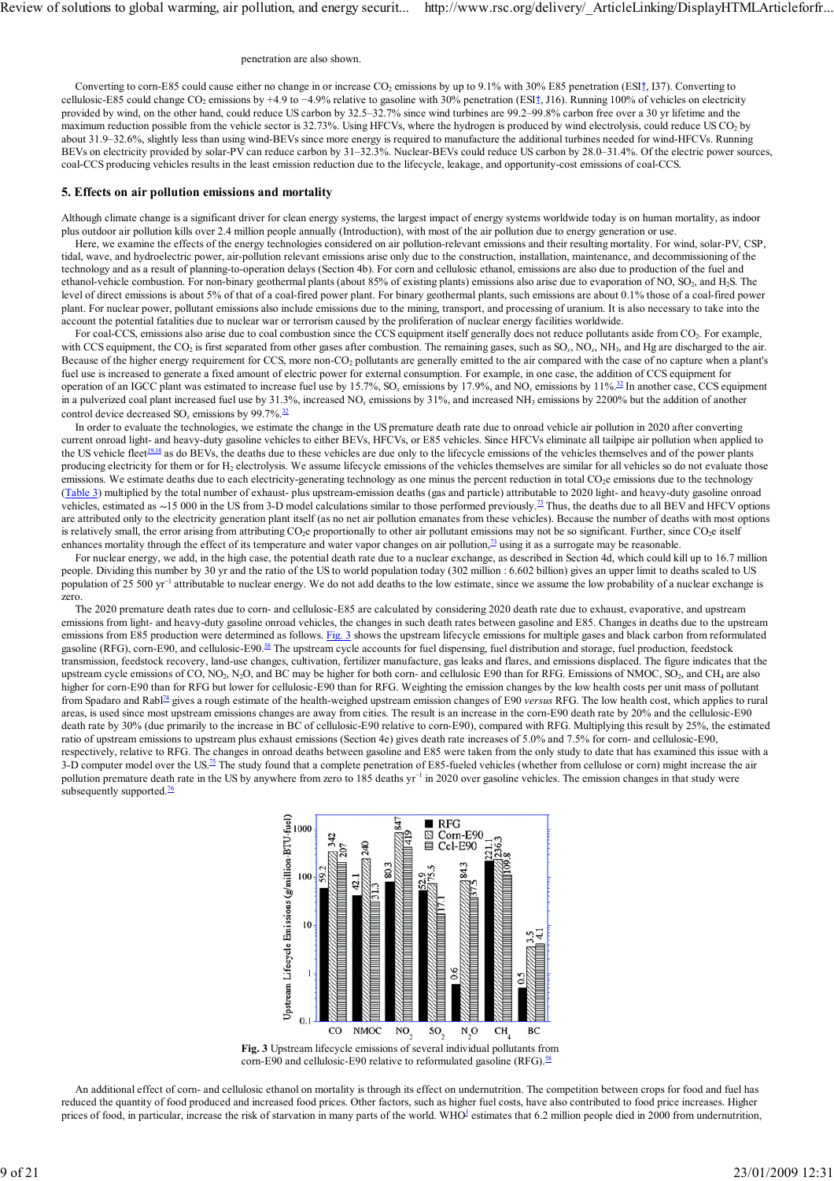#### penetration are also shown.

Converting to corn-E85 could cause either no change in or increase CO<sub>2</sub> emissions by up to 9.1% with 30% E85 penetration (ESI<sup>†</sup>, I37). Converting to cellulosic-E85 could change CO<sub>2</sub> emissions by +4.9 to −4.9% relative to gasoline with 30% penetration (ESI<sup>†</sup>, J16). Running 100% of vehicles on electricity provided by wind, on the other hand, could reduce US carbon by 32.5–32.7% since wind turbines are 99.2–99.8% carbon free over a 30 yr lifetime and the maximum reduction possible from the vehicle sector is 32.73%. Using HFCVs, where the hydrogen is produced by wind electrolysis, could reduce US CO<sub>2</sub> by about 31.9–32.6%, slightly less than using wind-BEVs since more energy is required to manufacture the additional turbines needed for wind-HFCVs. Running BEVs on electricity provided by solar-PV can reduce carbon by 31–32.3%. Nuclear-BEVs could reduce US carbon by 28.0–31.4%. Of the electric power sources, coal-CCS producing vehicles results in the least emission reduction due to the lifecycle, leakage, and opportunity-cost emissions of coal-CCS.

# 5. Effects on air pollution emissions and mortality

Although climate change is a significant driver for clean energy systems, the largest impact of energy systems worldwide today is on human mortality, as indoor plus outdoor air pollution kills over 2.4 million people annually (Introduction), with most of the air pollution due to energy generation or use.

Here, we examine the effects of the energy technologies considered on air pollution-relevant emissions and their resulting mortality. For wind, solar-PV, CSP, tidal, wave, and hydroelectric power, air-pollution relevant emissions arise only due to the construction, installation, maintenance, and decommissioning of the technology and as a result of planning-to-operation delays (Section 4b). For corn and cellulosic ethanol, emissions are also due to production of the fuel and ethanol-vehicle combustion. For non-binary geothermal plants (about 85% of existing plants) emissions also arise due to evaporation of NO, SO<sub>2</sub>, and H<sub>2</sub>S. The level of direct emissions is about 5% of that of a coal-fired power plant. For binary geothermal plants, such emissions are about 0.1% those of a coal-fired power plant. For nuclear power, pollutant emissions also include emissions due to the mining, transport, and processing of uranium. It is also necessary to take into the account the potential fatalities due to nuclear war or terrorism caused by the proliferation of nuclear energy facilities worldwide.

For coal-CCS, emissions also arise due to coal combustion since the CCS equipment itself generally does not reduce pollutants aside from CO<sub>2</sub>. For example, with CCS equipment, the CO<sub>2</sub> is first separated from other gases after combustion. The remaining gases, such as  $SO<sub>x</sub>$ , NO<sub>x</sub>, NH<sub>3</sub>, and Hg are discharged to the air. Because of the higher energy requirement for CCS, more non-CO2 pollutants are generally emitted to the air compared with the case of no capture when a plant's fuel use is increased to generate a fixed amount of electric power for external consumption. For example, in one case, the addition of CCS equipment for operation of an IGCC plant was estimated to increase fuel use by 15.7%, SO<sub>x</sub> emissions by 17.9%, and NO<sub>x</sub> emissions by 11%.<sup>32</sup> In another case, CCS equipment in a pulverized coal plant increased fuel use by 31.3%, increased NO<sub>x</sub> emissions by 31%, and increased NH<sub>3</sub> emissions by 2200% but the addition of another control device decreased SO<sub>x</sub> emissions by 99.7%.<sup>32</sup>

In order to evaluate the technologies, we estimate the change in the US premature death rate due to onroad vehicle air pollution in 2020 after converting current onroad light- and heavy-duty gasoline vehicles to either BEVs, HFCVs, or E85 vehicles. Since HFCVs eliminate all tailpipe air pollution when applied to the US vehicle fleet<sup>19,18</sup> as do BEVs, the deaths due to these vehicles are due only to the lifecycle emissions of the vehicles themselves and of the power plants producing electricity for them or for H<sub>2</sub> electrolysis. We assume lifecycle emissions of the vehicles themselves are similar for all vehicles so do not evaluate those emissions. We estimate deaths due to each electricity-generating technology as one minus the percent reduction in total CO<sub>2</sub>e emissions due to the technology (Table 3) multiplied by the total number of exhaust- plus upstream-emission deaths (gas and particle) attributable to 2020 light- and heavy-duty gasoline onroad vehicles, estimated as ~15 000 in the US from 3-D model calculations similar to those performed previously.<sup>73</sup> Thus, the deaths due to all BEV and HFCV options are attributed only to the electricity generation plant itself (as no net air pollution emanates from these vehicles). Because the number of deaths with most options is relatively small, the error arising from attributing  $CO<sub>2</sub>e$  proportionally to other air pollutant emissions may not be so significant. Further, since  $CO<sub>2</sub>e$  itself enhances mortality through the effect of its temperature and water vapor changes on air pollution, $\frac{73}{2}$  using it as a surrogate may be reasonable.

For nuclear energy, we add, in the high case, the potential death rate due to a nuclear exchange, as described in Section 4d, which could kill up to 16.7 million people. Dividing this number by 30 yr and the ratio of the US to world population today (302 million : 6.602 billion) gives an upper limit to deaths scaled to US population of 25 500 yr<sup>-1</sup> attributable to nuclear energy. We do not add deaths to the low estimate, since we assume the low probability of a nuclear exchange is zero.

The 2020 premature death rates due to corn- and cellulosic-E85 are calculated by considering 2020 death rate due to exhaust, evaporative, and upstream emissions from light- and heavy-duty gasoline onroad vehicles, the changes in such death rates between gasoline and E85. Changes in deaths due to the upstream emissions from E85 production were determined as follows. Fig. 3 shows the upstream lifecycle emissions for multiple gases and black carbon from reformulated gasoline (RFG), corn-E90, and cellulosic-E90.<sup>58</sup> The upstream cycle accounts for fuel dispensing, fuel distribution and storage, fuel production, feedstock transmission, feedstock recovery, land-use changes, cultivation, fertilizer manufacture, gas leaks and flares, and emissions displaced. The figure indicates that the upstream cycle emissions of CO, NO<sub>2</sub>, N<sub>2</sub>O, and BC may be higher for both corn- and cellulosic E90 than for RFG. Emissions of NMOC, SO<sub>2</sub>, and CH<sub>4</sub> are also higher for corn-E90 than for RFG but lower for cellulosic-E90 than for RFG. Weighting the emission changes by the low health costs per unit mass of pollutant from Spadaro and Rabl<sup>74</sup> gives a rough estimate of the health-weighed upstream emission changes of E90 *versus* RFG. The low health cost, which applies to rural areas, is used since most upstream emissions changes are away from cities. The result is an increase in the corn-E90 death rate by 20% and the cellulosic-E90 death rate by 30% (due primarily to the increase in BC of cellulosic-E90 relative to corn-E90), compared with RFG. Multiplying this result by 25%, the estimated ratio of upstream emissions to upstream plus exhaust emissions (Section 4e) gives death rate increases of 5.0% and 7.5% for corn- and cellulosic-E90, respectively, relative to RFG. The changes in onroad deaths between gasoline and E85 were taken from the only study to date that has examined this issue with a 3-D computer model over the US.<sup>75</sup> The study found that a complete penetration of E85-fueled vehicles (whether from cellulose or corn) might increase the air pollution premature death rate in the US by anywhere from zero to 185 deaths yr<sup>-1</sup> in 2020 over gasoline vehicles. The emission changes in that study were subsequently supported.<sup>76</sup>



Fig. 3 Upstream lifecycle emissions of several individual pollutants from corn-E90 and cellulosic-E90 relative to reformulated gasoline (RFG). $58$ 

An additional effect of corn- and cellulosic ethanol on mortality is through its effect on undernutrition. The competition between crops for food and fuel has reduced the quantity of food produced and increased food prices. Other factors, such as higher fuel costs, have also contributed to food price increases. Higher prices of food, in particular, increase the risk of starvation in many parts of the world. WHO<sup>1</sup> estimates that 6.2 million people died in 2000 from undernutrition,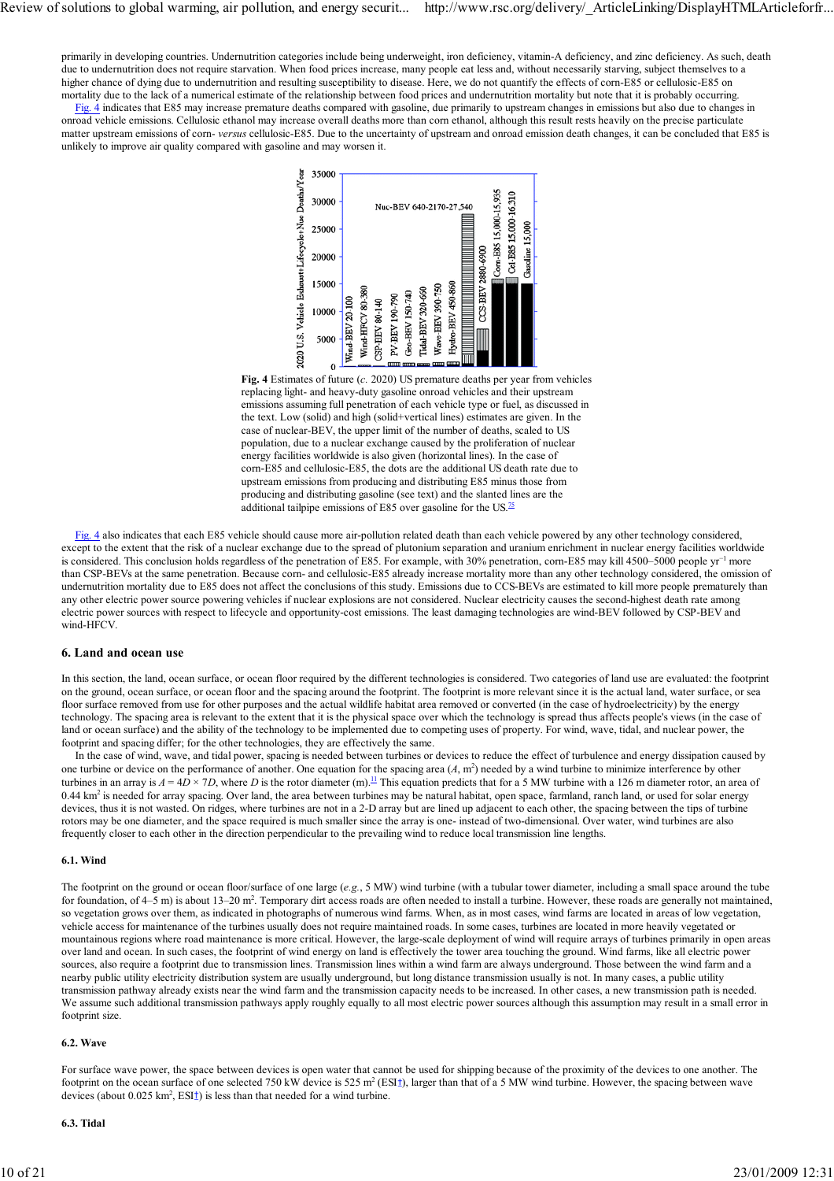primarily in developing countries. Undernutrition categories include being underweight, iron deficiency, vitamin-A deficiency, and zinc deficiency. As such, death due to undernutrition does not require starvation. When food prices increase, many people eat less and, without necessarily starving, subject themselves to a higher chance of dying due to undernutrition and resulting susceptibility to disease. Here, we do not quantify the effects of corn-E85 or cellulosic-E85 on mortality due to the lack of a numerical estimate of the relationship between food prices and undernutrition mortality but note that it is probably occurring.

Fig. 4 indicates that E85 may increase premature deaths compared with gasoline, due primarily to upstream changes in emissions but also due to changes in onroad vehicle emissions. Cellulosic ethanol may increase overall deaths more than corn ethanol, although this result rests heavily on the precise particulate matter upstream emissions of corn-versus cellulosic-E85. Due to the uncertainty of upstream and onroad emission death changes, it can be concluded that E85 is unlikely to improve air quality compared with gasoline and may worsen it.



Fig. 4 Estimates of future (c. 2020) US premature deaths per year from vehicles replacing light- and heavy-duty gasoline onroad vehicles and their upstream emissions assuming full penetration of each vehicle type or fuel, as discussed in the text. Low (solid) and high (solid+vertical lines) estimates are given. In the case of nuclear-BEV, the upper limit of the number of deaths, scaled to US population, due to a nuclear exchange caused by the proliferation of nuclear energy facilities worldwide is also given (horizontal lines). In the case of corn-E85 and cellulosic-E85, the dots are the additional US death rate due to upstream emissions from producing and distributing E85 minus those from producing and distributing gasoline (see text) and the slanted lines are the additional tailpipe emissions of E85 over gasoline for the US.<sup>75</sup>

Fig. 4 also indicates that each E85 vehicle should cause more air-pollution related death than each vehicle powered by any other technology considered, except to the extent that the risk of a nuclear exchange due to the spread of plutonium separation and uranium enrichment in nuclear energy facilities worldwide is considered. This conclusion holds regardless of the penetration of E85. For example, with 30% penetration, corn-E85 may kill 4500–5000 people yr−1 more than CSP-BEVs at the same penetration. Because corn- and cellulosic-E85 already increase mortality more than any other technology considered, the omission of undernutrition mortality due to E85 does not affect the conclusions of this study. Emissions due to CCS-BEVs are estimated to kill more people prematurely than any other electric power source powering vehicles if nuclear explosions are not considered. Nuclear electricity causes the second-highest death rate among electric power sources with respect to lifecycle and opportunity-cost emissions. The least damaging technologies are wind-BEV followed by CSP-BEV and wind-HFCV.

#### 6. Land and ocean use

In this section, the land, ocean surface, or ocean floor required by the different technologies is considered. Two categories of land use are evaluated: the footprint on the ground, ocean surface, or ocean floor and the spacing around the footprint. The footprint is more relevant since it is the actual land, water surface, or sea floor surface removed from use for other purposes and the actual wildlife habitat area removed or converted (in the case of hydroelectricity) by the energy technology. The spacing area is relevant to the extent that it is the physical space over which the technology is spread thus affects people's views (in the case of land or ocean surface) and the ability of the technology to be implemented due to competing uses of property. For wind, wave, tidal, and nuclear power, the footprint and spacing differ; for the other technologies, they are effectively the same.

In the case of wind, wave, and tidal power, spacing is needed between turbines or devices to reduce the effect of turbulence and energy dissipation caused by one turbine or device on the performance of another. One equation for the spacing area  $(A, m^2)$  needed by a wind turbine to minimize interference by other turbines in an array is  $A = 4D \times 7D$ , where D is the rotor diameter (m).<sup>11</sup> This equation predicts that for a 5 MW turbine with a 126 m diameter rotor, an area of 0.44 km<sup>2</sup> is needed for array spacing. Over land, the area between turbines may be natural habitat, open space, farmland, ranch land, or used for solar energy devices, thus it is not wasted. On ridges, where turbines are not in a 2-D array but are lined up adjacent to each other, the spacing between the tips of turbine rotors may be one diameter, and the space required is much smaller since the array is one- instead of two-dimensional. Over water, wind turbines are also frequently closer to each other in the direction perpendicular to the prevailing wind to reduce local transmission line lengths.

#### 6.1. Wind

The footprint on the ground or ocean floor/surface of one large (e.g., 5 MW) wind turbine (with a tubular tower diameter, including a small space around the tube for foundation, of 4–5 m) is about 13–20 m<sup>2</sup>. Temporary dirt access roads are often needed to install a turbine. However, these roads are generally not maintained, so vegetation grows over them, as indicated in photographs of numerous wind farms. When, as in most cases, wind farms are located in areas of low vegetation, vehicle access for maintenance of the turbines usually does not require maintained roads. In some cases, turbines are located in more heavily vegetated or mountainous regions where road maintenance is more critical. However, the large-scale deployment of wind will require arrays of turbines primarily in open areas over land and ocean. In such cases, the footprint of wind energy on land is effectively the tower area touching the ground. Wind farms, like all electric power sources, also require a footprint due to transmission lines. Transmission lines within a wind farm are always underground. Those between the wind farm and a nearby public utility electricity distribution system are usually underground, but long distance transmission usually is not. In many cases, a public utility transmission pathway already exists near the wind farm and the transmission capacity needs to be increased. In other cases, a new transmission path is needed. We assume such additional transmission pathways apply roughly equally to all most electric power sources although this assumption may result in a small error in footprint size.

#### 6.2. Wave

For surface wave power, the space between devices is open water that cannot be used for shipping because of the proximity of the devices to one another. The footprint on the ocean surface of one selected 750 kW device is 525 m<sup>2</sup> (ESI<sup>†</sup>), larger than that of a 5 MW wind turbine. However, the spacing between wave devices (about  $0.025 \text{ km}^2$ , ESI<sup> $\pm$ </sup>) is less than that needed for a wind turbine.

# 6.3. Tidal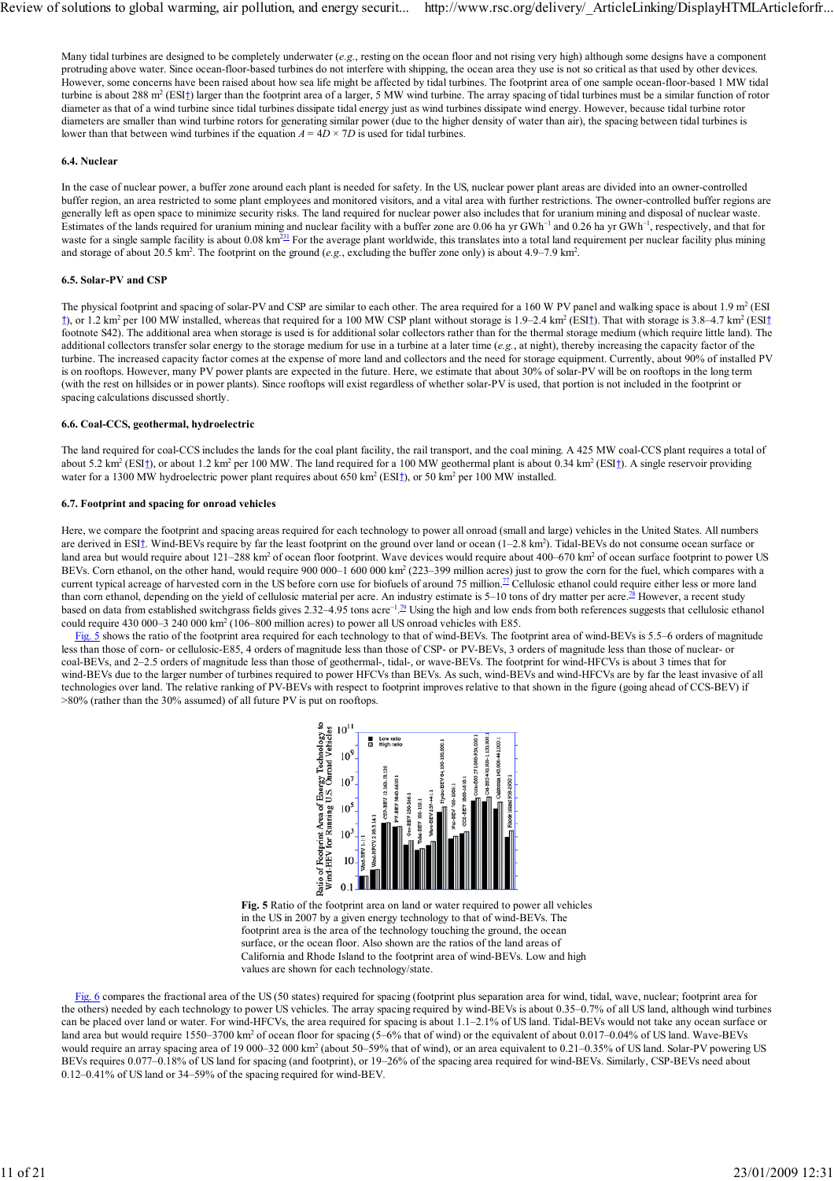Many tidal turbines are designed to be completely underwater (e.g., resting on the ocean floor and not rising very high) although some designs have a component protruding above water. Since ocean-floor-based turbines do not interfere with shipping, the ocean area they use is not so critical as that used by other devices. However, some concerns have been raised about how sea life might be affected by tidal turbines. The footprint area of one sample ocean-floor-based 1 MW tidal turbine is about 288 m<sup>2</sup> (ESI<sup>†</sup>) larger than the footprint area of a larger, 5 MW wind turbine. The array spacing of tidal turbines must be a similar function of rotor diameter as that of a wind turbine since tidal turbines dissipate tidal energy just as wind turbines dissipate wind energy. However, because tidal turbine rotor diameters are smaller than wind turbine rotors for generating similar power (due to the higher density of water than air), the spacing between tidal turbines is lower than that between wind turbines if the equation  $A = 4D \times 7D$  is used for tidal turbines.

# 6.4. Nuclear

In the case of nuclear power, a buffer zone around each plant is needed for safety. In the US, nuclear power plant areas are divided into an owner-controlled buffer region, an area restricted to some plant employees and monitored visitors, and a vital area with further restrictions. The owner-controlled buffer regions are generally left as open space to minimize security risks. The land required for nuclear power also includes that for uranium mining and disposal of nuclear waste. Estimates of the lands required for uranium mining and nuclear facility with a buffer zone are 0.06 ha yr GWh−1 and 0.26 ha yr GWh−1, respectively, and that for waste for a single sample facility is about  $0.08 \text{ km}^2$ <sup>31</sup> For the average plant worldwide, this translates into a total land requirement per nuclear facility plus mining and storage of about 20.5 km<sup>2</sup>. The footprint on the ground (e.g., excluding the buffer zone only) is about 4.9–7.9 km<sup>2</sup>.

# 6.5. Solar-PV and CSP

The physical footprint and spacing of solar-PV and CSP are similar to each other. The area required for a 160 W PV panel and walking space is about 1.9 m<sup>2</sup> (ESI ), or 1.2 km<sup>2</sup> per 100 MW installed, whereas that required for a 100 MW CSP plant without storage is 1.9–2.4 km<sup>2</sup> (ESI<sup>†</sup>). That with storage is 3.8–4.7 km<sup>2</sup> (ESI footnote S42). The additional area when storage is used is for additional solar collectors rather than for the thermal storage medium (which require little land). The additional collectors transfer solar energy to the storage medium for use in a turbine at a later time (e.g., at night), thereby increasing the capacity factor of the turbine. The increased capacity factor comes at the expense of more land and collectors and the need for storage equipment. Currently, about 90% of installed PV is on rooftops. However, many PV power plants are expected in the future. Here, we estimate that about 30% of solar-PV will be on rooftops in the long term (with the rest on hillsides or in power plants). Since rooftops will exist regardless of whether solar-PV is used, that portion is not included in the footprint or spacing calculations discussed shortly.

# 6.6. Coal-CCS, geothermal, hydroelectric

The land required for coal-CCS includes the lands for the coal plant facility, the rail transport, and the coal mining. A 425 MW coal-CCS plant requires a total of about 5.2 km<sup>2</sup> (ESI<sup>†</sup>), or about 1.2 km<sup>2</sup> per 100 MW. The land required for a 100 MW geothermal plant is about 0.34 km<sup>2</sup> (ESI<sup>†</sup>). A single reservoir providing water for a 1300 MW hydroelectric power plant requires about 650 km<sup>2</sup> (ESI<sup>†</sup>), or 50 km<sup>2</sup> per 100 MW installed.

# 6.7. Footprint and spacing for onroad vehicles

Here, we compare the footprint and spacing areas required for each technology to power all onroad (small and large) vehicles in the United States. All numbers are derived in ESI<sup>†</sup>. Wind-BEVs require by far the least footprint on the ground over land or ocean (1–2.8 km<sup>2</sup>). Tidal-BEVs do not consume ocean surface or land area but would require about 121–288 km<sup>2</sup> of ocean floor footprint. Wave devices would require about 400–670 km<sup>2</sup> of ocean surface footprint to power US BEVs. Corn ethanol, on the other hand, would require 900 000-1 600 000 km<sup>2</sup> (223-399 million acres) just to grow the corn for the fuel, which compares with a current typical acreage of harvested corn in the US before corn use for biofuels of around 75 million.<sup>77</sup> Cellulosic ethanol could require either less or more land than corn ethanol, depending on the yield of cellulosic material per acre. An industry estimate is  $5-10$  tons of dry matter per acre.<sup>78</sup> However, a recent study based on data from established switchgrass fields gives 2.32–4.95 tons acre<sup>-1</sup>.<sup>®</sup> Using the high and low ends from both references suggests that cellulosic ethanol could require  $430\,000-3\,240\,000\,\mathrm{km}^2$  (106–800 million acres) to power all US onroad vehicles with E85.

Fig. 5 shows the ratio of the footprint area required for each technology to that of wind-BEVs. The footprint area of wind-BEVs is 5.5–6 orders of magnitude less than those of corn- or cellulosic-E85, 4 orders of magnitude less than those of CSP- or PV-BEVs, 3 orders of magnitude less than those of nuclear- or coal-BEVs, and 2–2.5 orders of magnitude less than those of geothermal-, tidal-, or wave-BEVs. The footprint for wind-HFCVs is about 3 times that for wind-BEVs due to the larger number of turbines required to power HFCVs than BEVs. As such, wind-BEVs and wind-HFCVs are by far the least invasive of all wind-BEVs are by far the least invasive of all technologies over land. The relative ranking of PV-BEVs with respect to footprint improves relative to that shown in the figure (going ahead of CCS-BEV) if >80% (rather than the 30% assumed) of all future PV is put on rooftops.



Fig. 5 Ratio of the footprint area on land or water required to power all vehicles in the US in 2007 by a given energy technology to that of wind-BEVs. The footprint area is the area of the technology touching the ground, the ocean surface, or the ocean floor. Also shown are the ratios of the land areas of California and Rhode Island to the footprint area of wind-BEVs. Low and high values are shown for each technology/state.

Fig. 6 compares the fractional area of the US (50 states) required for spacing (footprint plus separation area for wind, tidal, wave, nuclear; footprint area for the others) needed by each technology to power US vehicles. The array spacing required by wind-BEVs is about 0.35–0.7% of all US land, although wind turbines can be placed over land or water. For wind-HFCVs, the area required for spacing is about 1.1–2.1% of US land. Tidal-BEVs would not take any ocean surface or land area but would require 1550–3700 km<sup>2</sup> of ocean floor for spacing (5–6% that of wind) or the equivalent of about 0.017–0.04% of US land. Wave-BEVs would require an array spacing area of 19 000-32 000 km<sup>2</sup> (about 50-59% that of wind), or an area equivalent to 0.21-0.35% of US land. Solar-PV powering US BEVs requires 0.077–0.18% of US land for spacing (and footprint), or 19–26% of the spacing area required for wind-BEVs. Similarly, CSP-BEVs need about 0.12–0.41% of US land or 34–59% of the spacing required for wind-BEV.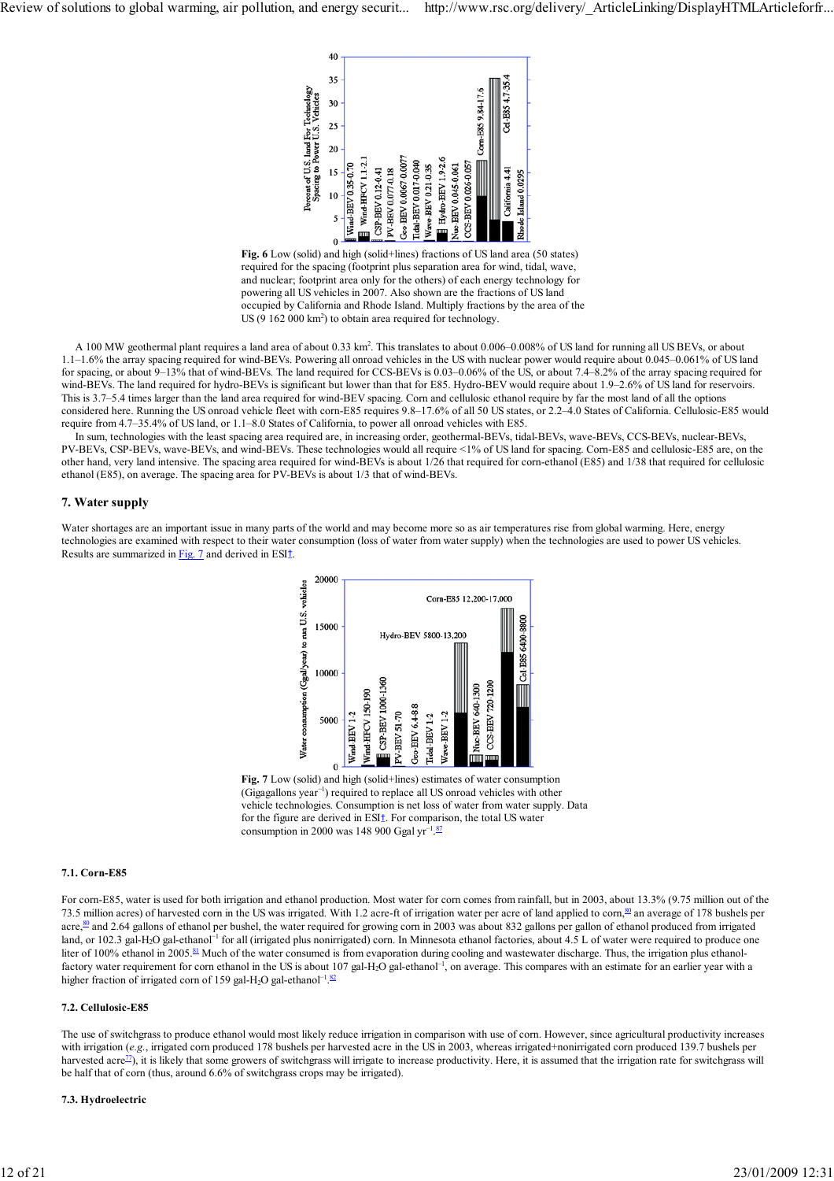

Fig. 6 Low (solid) and high (solid+lines) fractions of US land area (50 states) required for the spacing (footprint plus separation area for wind, tidal, wave, and nuclear; footprint area only for the others) of each energy technology for powering all US vehicles in 2007. Also shown are the fractions of US land occupied by California and Rhode Island. Multiply fractions by the area of the US (9 162 000 km<sup>2</sup>) to obtain area required for technology.

A 100 MW geothermal plant requires a land area of about 0.33 km<sup>2</sup> . This translates to about 0.006–0.008% of US land for running all US BEVs, or about 1.1–1.6% the array spacing required for wind-BEVs. Powering all onroad vehicles in the US with nuclear power would require about 0.045–0.061% of US land for spacing, or about 9–13% that of wind-BEVs. The land required for CCS-BEVs is 0.03–0.06% of the US, or about 7.4–8.2% of the array spacing required for wind-BEVs. The land required for hydro-BEVs is significant but lower than that for E85. Hydro-BEV would require about 1.9-2.6% of US land for reservoirs. This is 3.7–5.4 times larger than the land area required for wind-BEV spacing. Corn and cellulosic ethanol require by far the most land of all the options considered here. Running the US onroad vehicle fleet with corn-E85 requires 9.8–17.6% of all 50 US states, or 2.2–4.0 States of California. Cellulosic-E85 would require from 4.7–35.4% of US land, or 1.1–8.0 States of California, to power all onroad vehicles with E85.

In sum, technologies with the least spacing area required are, in increasing order, geothermal-BEVs, tidal-BEVs, wave-BEVs, CCS-BEVs, nuclear-BEVs, PV-BEVs, CSP-BEVs, wave-BEVs, and wind-BEVs. These technologies would all require <1% of US land for spacing. Corn-E85 and cellulosic-E85 are, on the other hand, very land intensive. The spacing area required for wind-BEVs is about 1/26 that required for corn-ethanol (E85) and 1/38 that required for cellulosic ethanol (E85), on average. The spacing area for PV-BEVs is about 1/3 that of wind-BEVs.

# 7. Water supply

Water shortages are an important issue in many parts of the world and may become more so as air temperatures rise from global warming. Here, energy technologies are examined with respect to their water consumption (loss of water from water supply) when the technologies are used to power US vehicles. Results are summarized in Fig. 7 and derived in ESI<sup>1</sup>.



Fig. 7 Low (solid) and high (solid+lines) estimates of water consumption (Gigagallons year−1) required to replace all US onroad vehicles with other vehicle technologies. Consumption is net loss of water from water supply. Data for the figure are derived in ESI $\pm$ . For comparison, the total US water consumption in 2000 was 148 900 Ggal yr<sup>-1</sup>.<sup>87</sup>

# 7.1. Corn-E85

For corn-E85, water is used for both irrigation and ethanol production. Most water for corn comes from rainfall, but in 2003, about 13.3% (9.75 million out of the 73.5 million acres) of harvested corn in the US was irrigated. With 1.2 acre-ft of irrigation water per acre of land applied to corn,<sup>80</sup> an average of 178 bushels per acre, $\frac{80}{2}$  and 2.64 gallons of ethanol per bushel, the water required for growing corn in 2003 was about 832 gallons per gallon of ethanol produced from irrigated land, or 102.3 gal-H<sub>2</sub>O gal-ethanol<sup>-1</sup> for all (irrigated plus nonirrigated) corn. In Minnesota ethanol factories, about 4.5 L of water were required to produce one liter of 100% ethanol in 2005.<sup>81</sup> Much of the water consumed is from evaporation during cooling and wastewater discharge. Thus, the irrigation plus ethanolfactory water requirement for corn ethanol in the US is about 107 gal-H2O gal-ethanol−1, on average. This compares with an estimate for an earlier year with a higher fraction of irrigated corn of 159 gal-H<sub>2</sub>O gal-ethanol<sup>-1 82</sup>

# 7.2. Cellulosic-E85

The use of switchgrass to produce ethanol would most likely reduce irrigation in comparison with use of corn. However, since agricultural productivity increases with irrigation (e.g., irrigated corn produced 178 bushels per harvested acre in the US in 2003, whereas irrigated+nonirrigated corn produced 139.7 bushels per harvested acre $\mathbb{Z}$ ), it is likely that some growers of switchgrass will irrigate to increase productivity. Here, it is assumed that the irrigation rate for switchgrass will be half that of corn (thus, around 6.6% of switchgrass crops may be irrigated).

# 7.3. Hydroelectric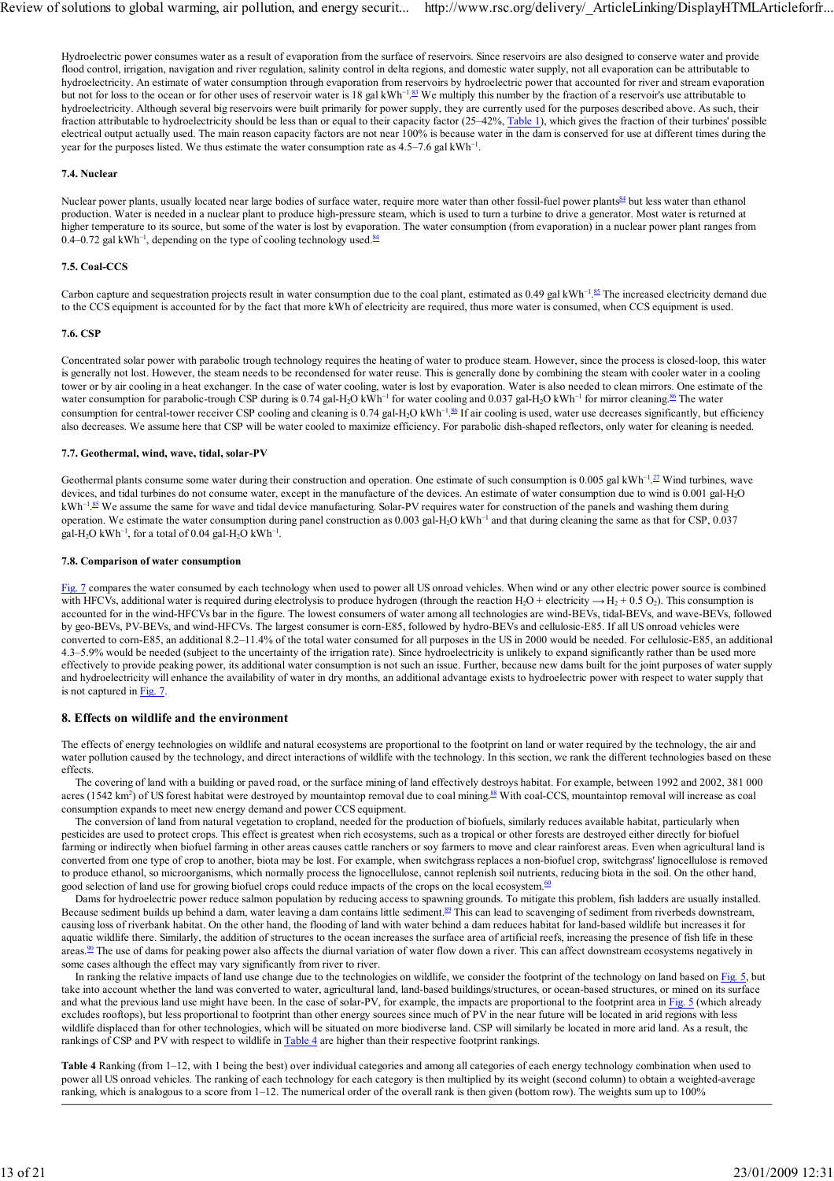Hydroelectric power consumes water as a result of evaporation from the surface of reservoirs. Since reservoirs are also designed to conserve water and provide flood control, irrigation, navigation and river regulation, salinity control in delta regions, and domestic water supply, not all evaporation can be attributable to hydroelectricity. An estimate of water consumption through evaporation from reservoirs by hydroelectric power that accounted for river and stream evaporation but not for loss to the ocean or for other uses of reservoir water is 18 gal kWh<sup>-1 83</sup> We multiply this number by the fraction of a reservoir's use attributable to hydroelectricity. Although several big reservoirs were built primarily for power supply, they are currently used for the purposes described above. As such, their fraction attributable to hydroelectricity should be less than or equal to their capacity factor  $(25-42\% ,$  Table 1), which gives the fraction of their turbines' possible electrical output actually used. The main reason capacity factors are not near 100% is because water in the dam is conserved for use at different times during the year for the purposes listed. We thus estimate the water consumption rate as  $4.5-7.6$  gal kWh<sup>-1</sup>.

# 7.4. Nuclear

Nuclear power plants, usually located near large bodies of surface water, require more water than other fossil-fuel power plants.<sup>84</sup> but less water than ethanol production. Water is needed in a nuclear plant to produce high-pressure steam, which is used to turn a turbine to drive a generator. Most water is returned at higher temperature to its source, but some of the water is lost by evaporation. The water consumption (from evaporation) in a nuclear power plant ranges from 0.4–0.72 gal kWh<sup>-1</sup>, depending on the type of cooling technology used.<sup>84</sup>

# 7.5. Coal-CCS

Carbon capture and sequestration projects result in water consumption due to the coal plant, estimated as 0.49 gal kWh<sup>-1 ®</sup> The increased electricity demand due to the CCS equipment is accounted for by the fact that more kWh of electricity are required, thus more water is consumed, when CCS equipment is used.

#### 7.6. CSP

Concentrated solar power with parabolic trough technology requires the heating of water to produce steam. However, since the process is closed-loop, this water is generally not lost. However, the steam needs to be recondensed for water reuse. This is generally done by combining the steam with cooler water in a cooling tower or by air cooling in a heat exchanger. In the case of water cooling, water is lost by evaporation. Water is also needed to clean mirrors. One estimate of the water consumption for parabolic-trough CSP during is 0.74 gal-H<sub>2</sub>O kWh<sup>-1</sup> for water cooling and 0.037 gal-H<sub>2</sub>O kWh<sup>-1</sup> for mirror cleaning.<sup>86</sup> The water consumption for central-tower receiver CSP cooling and cleaning is 0.74 gal-H<sub>2</sub>O kWh<sup>-1®</sup> If air cooling is used, water use decreases significantly, but efficiency also decreases. We assume here that CSP will be water cooled to maximize efficiency. For parabolic dish-shaped reflectors, only water for cleaning is needed.

# 7.7. Geothermal, wind, wave, tidal, solar-PV

Geothermal plants consume some water during their construction and operation. One estimate of such consumption is 0.005 gal kWh<sup>-1 27</sup> Wind turbines, wave devices, and tidal turbines do not consume water, except in the manufacture of the devices. An estimate of water consumption due to wind is 0.001 gal-H<sub>2</sub>O kWh<sup>-1 ss</sup> We assume the same for wave and tidal device manufacturing. Solar-PV requires water for construction of the panels and washing them during operation. We estimate the water consumption during panel construction as 0.003 gal-H2O kWh−1 and that during cleaning the same as that for CSP, 0.037 gal-H<sub>2</sub>O kWh<sup>-1</sup>, for a total of 0.04 gal-H<sub>2</sub>O kWh<sup>-1</sup>.

#### 7.8. Comparison of water consumption

Fig. 7 compares the water consumed by each technology when used to power all US onroad vehicles. When wind or any other electric power source is combined with HFCVs, additional water is required during electrolysis to produce hydrogen (through the reaction H<sub>2</sub>O + electricity  $\rightarrow$  H<sub>2</sub> + 0.5 O<sub>2</sub>). This consumption is accounted for in the wind-HFCVs bar in the figure. The lowest consumers of water among all technologies are wind-BEVs, tidal-BEVs, and wave-BEVs, followed by geo-BEVs, PV-BEVs, and wind-HFCVs. The largest consumer is corn-E85, followed by hydro-BEVs and cellulosic-E85. If all US onroad vehicles were converted to corn-E85, an additional 8.2–11.4% of the total water consumed for all purposes in the US in 2000 would be needed. For cellulosic-E85, an additional 4.3–5.9% would be needed (subject to the uncertainty of the irrigation rate). Since hydroelectricity is unlikely to expand significantly rather than be used more effectively to provide peaking power, its additional water consumption is not such an issue. Further, because new dams built for the joint purposes of water supply and hydroelectricity will enhance the availability of water in dry months, an additional advantage exists to hydroelectric power with respect to water supply that is not captured in Fig. 7.

# 8. Effects on wildlife and the environment

The effects of energy technologies on wildlife and natural ecosystems are proportional to the footprint on land or water required by the technology, the air and water pollution caused by the technology, and direct interactions of wildlife with the technology. In this section, we rank the different technologies based on these effects.

The covering of land with a building or paved road, or the surface mining of land effectively destroys habitat. For example, between 1992 and 2002, 381 000 acres (1542 km<sup>2</sup>) of US forest habitat were destroyed by mountaintop removal due to coal mining.<sup>88</sup> With coal-CCS, mountaintop removal will increase as coal consumption expands to meet new energy demand and power CCS equipment.

The conversion of land from natural vegetation to cropland, needed for the production of biofuels, similarly reduces available habitat, particularly when pesticides are used to protect crops. This effect is greatest when rich ecosystems, such as a tropical or other forests are destroyed either directly for biofuel farming or indirectly when biofuel farming in other areas causes cattle ranchers or soy farmers to move and clear rainforest areas. Even when agricultural land is converted from one type of crop to another, biota may be lost. For example, when switchgrass replaces a non-biofuel crop, switchgrass' lignocellulose is removed to produce ethanol, so microorganisms, which normally process the lignocellulose, cannot replenish soil nutrients, reducing biota in the soil. On the other hand, good selection of land use for growing biofuel crops could reduce impacts of the crops on the local ecosystem.<sup>60</sup>

Dams for hydroelectric power reduce salmon population by reducing access to spawning grounds. To mitigate this problem, fish ladders are usually installed. Because sediment builds up behind a dam, water leaving a dam contains little sediment.<sup>89</sup> This can lead to scavenging of sediment from riverbeds downstream, causing loss of riverbank habitat. On the other hand, the flooding of land with water behind a dam reduces habitat for land-based wildlife but increases it for aquatic wildlife there. Similarly, the addition of structures to the ocean increases the surface area of artificial reefs, increasing the presence of fish life in these areas. $\frac{90}{2}$  The use of dams for peaking power also affects the diurnal variation of water flow down a river. This can affect downstream ecosystems negatively in some cases although the effect may vary significantly from river to river.

In ranking the relative impacts of land use change due to the technologies on wildlife, we consider the footprint of the technology on land based on Fig. 5, but take into account whether the land was converted to water, agricultural land, land-based buildings/structures, or ocean-based structures, or mined on its surface and what the previous land use might have been. In the case of solar-PV, for example, the impacts are proportional to the footprint area in  $Fig. 5$  (which already excludes rooftops), but less proportional to footprint than other energy sources since much of PV in the near future will be located in arid regions with less wildlife displaced than for other technologies, which will be situated on more biodiverse land. CSP will similarly be located in more arid land. As a result, the rankings of CSP and PV with respect to wildlife in Table 4 are higher than their respective footprint rankings.

Table 4 Ranking (from 1–12, with 1 being the best) over individual categories and among all categories of each energy technology combination when used to power all US onroad vehicles. The ranking of each technology for each category is then multiplied by its weight (second column) to obtain a weighted-average ranking, which is analogous to a score from 1–12. The numerical order of the overall rank is then given (bottom row). The weights sum up to 100%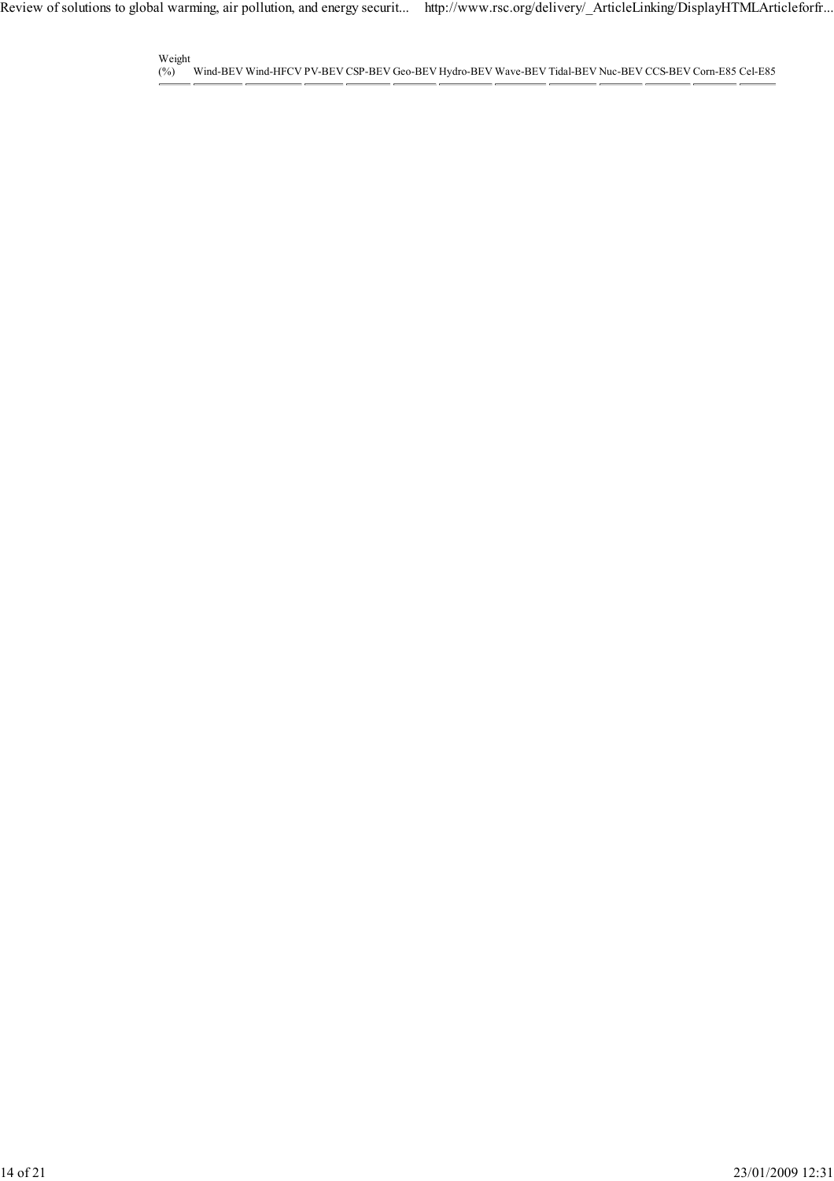Weight<br>(%) Wind-BEV Wind-HFCV PV-BEV CSP-BEV Geo-BEV Hydro-BEV Wave-BEV Tidal-BEV Nuc-BEV CCS-BEV Corn-E85 Cel-E85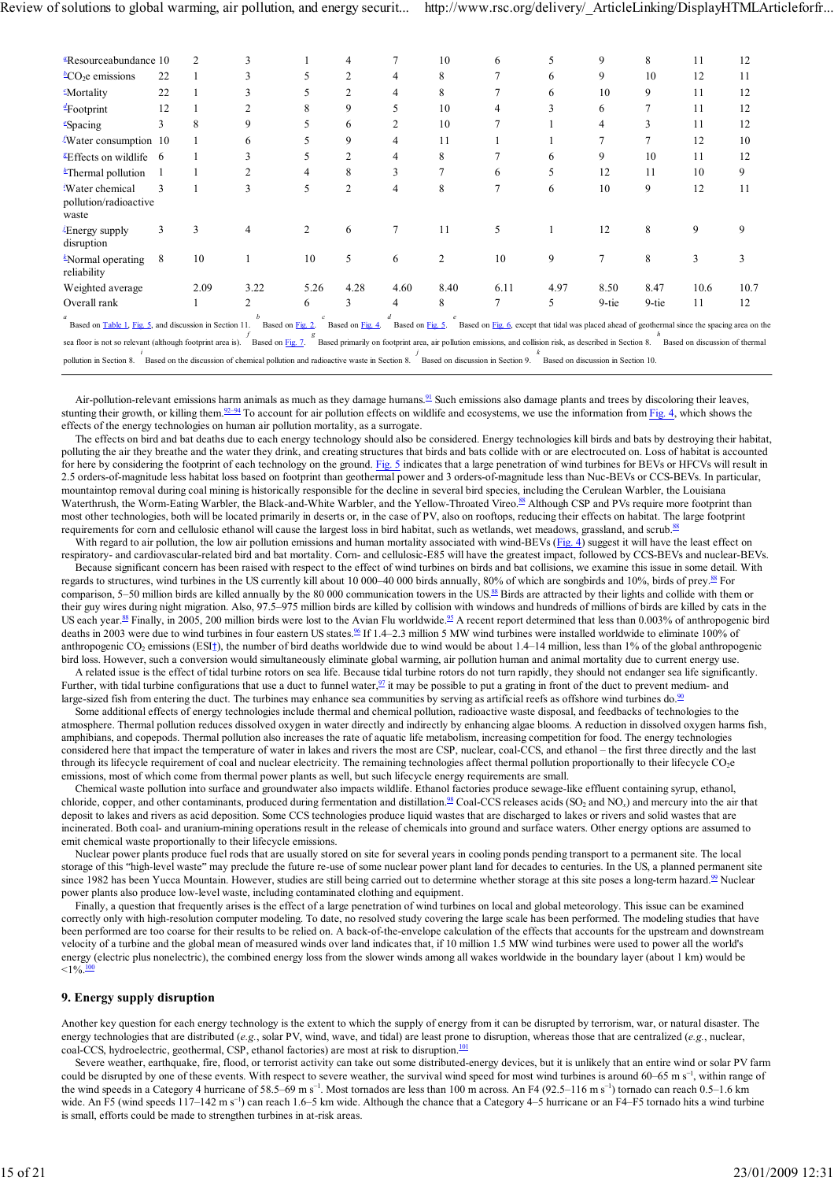| <sup>a</sup> Resourceabundance 10                                                                                                                                                                                                                 |    |      |                                                                                                                     |      |                  |                  | 10   |                                                                                                 |                                    |       |       | 11                             | 12   |
|---------------------------------------------------------------------------------------------------------------------------------------------------------------------------------------------------------------------------------------------------|----|------|---------------------------------------------------------------------------------------------------------------------|------|------------------|------------------|------|-------------------------------------------------------------------------------------------------|------------------------------------|-------|-------|--------------------------------|------|
| <sup><b><sup>2</sup>CO<sub>2</sub>e</b> emissions</sup>                                                                                                                                                                                           | 22 |      |                                                                                                                     |      |                  |                  |      |                                                                                                 |                                    | 9     | 10    | 12                             | 11   |
| <sup>c</sup> Mortality                                                                                                                                                                                                                            | 22 |      |                                                                                                                     |      |                  |                  | 8    |                                                                                                 |                                    | 10    | 9     | 11                             | 12   |
| $\frac{d}{dx}$ Footprint                                                                                                                                                                                                                          | 12 |      |                                                                                                                     |      |                  |                  | 10   |                                                                                                 |                                    | 6     |       | 11                             | 12   |
| $\epsilon$ Spacing                                                                                                                                                                                                                                |    | 8    | 9                                                                                                                   |      |                  |                  | 10   |                                                                                                 |                                    |       |       | 11                             | 12   |
| $\frac{1}{2}W$ ater consumption 10                                                                                                                                                                                                                |    |      | 6                                                                                                                   |      |                  |                  | 11   |                                                                                                 |                                    |       |       | 12                             | 10   |
| <sup><i>s</i></sup> Effects on wildlife                                                                                                                                                                                                           | 6  |      |                                                                                                                     |      |                  |                  | 8    |                                                                                                 |                                    | 9     | 10    | 11                             | 12   |
| "Thermal pollution"                                                                                                                                                                                                                               |    |      |                                                                                                                     |      |                  | 3                |      |                                                                                                 |                                    | 12    | 11    | 10                             | 9.   |
| <b>Water</b> chemical<br>pollution/radioactive<br>waste                                                                                                                                                                                           | 3  |      | 3                                                                                                                   | 5    |                  | 4                | 8    |                                                                                                 | 6                                  | 10    | 9     | 12                             | 11   |
| <i>Energy</i> supply<br>disruption                                                                                                                                                                                                                | 3  | 3    |                                                                                                                     |      | 6                |                  | 11   | 5                                                                                               |                                    | 12    | 8     | 9                              |      |
| Normal operating<br>reliability                                                                                                                                                                                                                   | 8  | 10   |                                                                                                                     | 10   | 5                | 6                | 2    | 10                                                                                              | 9                                  |       | 8     | 3                              |      |
| Weighted average                                                                                                                                                                                                                                  |    | 2.09 | 3.22                                                                                                                | 5.26 | 4.28             | 4.60             | 8.40 | 6.11                                                                                            | 4.97                               | 8.50  | 8.47  | 10.6                           | 10.7 |
| Overall rank                                                                                                                                                                                                                                      |    |      |                                                                                                                     | 6    | 3                |                  | 8    |                                                                                                 | 5                                  | 9-tie | 9-tie | 11                             | 12   |
| Based on Table 1, Fig. 5, and discussion in Section 11.<br>sea floor is not so relevant (although footprint area is). Based on Fig. 7. Based primarily on footprint area, air pollution emissions, and collision risk, as described in Section 8. |    |      | Based on Fig. 2.                                                                                                    |      | Based on Fig. 4. | Based on Fig. 5. |      | Based on Fig. 6, except that tidal was placed ahead of geothermal since the spacing area on the |                                    |       |       | Based on discussion of thermal |      |
| pollution in Section 8.                                                                                                                                                                                                                           |    |      | Based on the discussion of chemical pollution and radioactive waste in Section 8. Based on discussion in Section 9. |      |                  |                  |      |                                                                                                 | Based on discussion in Section 10. |       |       |                                |      |

Air-pollution-relevant emissions harm animals as much as they damage humans.<sup>91</sup> Such emissions also damage plants and trees by discoloring their leaves, stunting their growth, or killing them. $92-94$  To account for air pollution effects on wildlife and ecosystems, we use the information from Fig. 4, which shows the effects of the energy technologies on human air pollution mortality, as a surrogate.

The effects on bird and bat deaths due to each energy technology should also be considered. Energy technologies kill birds and bats by destroying their habitat, polluting the air they breathe and the water they drink, and creating structures that birds and bats collide with or are electrocuted on. Loss of habitat is accounted for here by considering the footprint of each technology on the ground. Fig. 5 indicates that a large penetration of wind turbines for BEVs or HFCVs will result in 2.5 orders-of-magnitude less habitat loss based on footprint than geothermal power and 3 orders-of-magnitude less than Nuc-BEVs or CCS-BEVs. In particular, mountaintop removal during coal mining is historically responsible for the decline in several bird species, including the Cerulean Warbler, the Louisiana Waterthrush, the Worm-Eating Warbler, the Black-and-White Warbler, and the Yellow-Throated Vireo.<sup>88</sup> Although CSP and PVs require more footprint than most other technologies, both will be located primarily in deserts or, in the case of PV, also on rooftops, reducing their effects on habitat. The large footprint requirements for corn and cellulosic ethanol will cause the largest loss in bird habitat, such as wetlands, wet meadows, grassland, and scrub.<sup>88</sup>

With regard to air pollution, the low air pollution emissions and human mortality associated with wind-BEVs (Fig. 4) suggest it will have the least effect on respiratory- and cardiovascular-related bird and bat mortality. Corn- and cellulosic-E85 will have the greatest impact, followed by CCS-BEVs and nuclear-BEVs.

Because significant concern has been raised with respect to the effect of wind turbines on birds and bat collisions, we examine this issue in some detail. With regards to structures, wind turbines in the US currently kill about 10 000–40 000 birds annually, 80% of which are songbirds and 10%, birds of prey.<sup>88</sup> For comparison, 5–50 million birds are killed annually by the 80 000 communication towers in the US.<sup>88</sup> Birds are attracted by their lights and collide with them or their guy wires during night migration. Also, 97.5–975 million birds are killed by collision with windows and hundreds of millions of birds are killed by cats in the US each year.<sup>88</sup> Finally, in 2005, 200 million birds were lost to the Avian Flu worldwide.<sup>95</sup> A recent report determined that less than 0.003% of anthropogenic bird deaths in 2003 were due to wind turbines in four eastern US states.<sup>96</sup> If 1.4–2.3 million 5 MW wind turbines were installed worldwide to eliminate 100% of anthropogenic CO<sub>2</sub> emissions (ESI<sup>†</sup>), the number of bird deaths worldwide due to wind would be about  $1.4-14$  million, less than  $1%$  of the global anthropogenic bird loss. However, such a conversion would simultaneously eliminate global warming, air pollution human and animal mortality due to current energy use.

A related issue is the effect of tidal turbine rotors on sea life. Because tidal turbine rotors do not turn rapidly, they should not endanger sea life significantly. Further, with tidal turbine configurations that use a duct to funnel water, $\frac{97}{2}$  it may be possible to put a grating in front of the duct to prevent medium- and large-sized fish from entering the duct. The turbines may enhance sea communities by serving as artificial reefs as offshore wind turbines do.<sup>90</sup>

Some additional effects of energy technologies include thermal and chemical pollution, radioactive waste disposal, and feedbacks of technologies to the atmosphere. Thermal pollution reduces dissolved oxygen in water directly and indirectly by enhancing algae blooms. A reduction in dissolved oxygen harms fish, amphibians, and copepods. Thermal pollution also increases the rate of aquatic life metabolism, increasing competition for food. The energy technologies considered here that impact the temperature of water in lakes and rivers the most are CSP, nuclear, coal-CCS, and ethanol – the first three directly and the last through its lifecycle requirement of coal and nuclear electricity. The remaining technologies affect thermal pollution proportionally to their lifecycle  $CO<sub>2</sub>$ e emissions, most of which come from thermal power plants as well, but such lifecycle energy requirements are small.

Chemical waste pollution into surface and groundwater also impacts wildlife. Ethanol factories produce sewage-like effluent containing syrup, ethanol, chloride, copper, and other contaminants, produced during fermentation and distillation.<sup>98</sup> Coal-CCS releases acids (SO<sub>2</sub> and NO<sub>x</sub>) and mercury into the air that deposit to lakes and rivers as acid deposition. Some CCS technologies produce liquid wastes that are discharged to lakes or rivers and solid wastes that are incinerated. Both coal- and uranium-mining operations result in the release of chemicals into ground and surface waters. Other energy options are assumed to emit chemical waste proportionally to their lifecycle emissions.

Nuclear power plants produce fuel rods that are usually stored on site for several years in cooling ponds pending transport to a permanent site. The local storage of this "high-level waste" may preclude the future re-use of some nuclear power plant land for decades to centuries. In the US, a planned permanent site since 1982 has been Yucca Mountain. However, studies are still being carried out to determine whether storage at this site poses a long-term hazard.<sup>99</sup> Nuclear power plants also produce low-level waste, including contaminated clothing and equipment.

Finally, a question that frequently arises is the effect of a large penetration of wind turbines on local and global meteorology. This issue can be examined correctly only with high-resolution computer modeling. To date, no resolved study covering the large scale has been performed. The modeling studies that have been performed are too coarse for their results to be relied on. A back-of-the-envelope calculation of the effects that accounts for the upstream and downstream velocity of a turbine and the global mean of measured winds over land indicates that, if 10 million 1.5 MW wind turbines were used to power all the world's energy (electric plus nonelectric), the combined energy loss from the slower winds among all wakes worldwide in the boundary layer (about 1 km) would be  $<$ 1%  $\frac{100}{2}$ 

# 9. Energy supply disruption

Another key question for each energy technology is the extent to which the supply of energy from it can be disrupted by terrorism, war, or natural disaster. The energy technologies that are distributed (e.g., solar PV, wind, wave, and tidal) are least prone to disruption, whereas those that are centralized (e.g., nuclear, coal-CCS, hydroelectric, geothermal, CSP, ethanol factories) are most at risk to disruption.<sup>101</sup>

Severe weather, earthquake, fire, flood, or terrorist activity can take out some distributed-energy devices, but it is unlikely that an entire wind or solar PV farm could be disrupted by one of these events. With respect to severe weather, the survival wind speed for most wind turbines is around 60–65 m s<sup>−1</sup>, within range of the wind speeds in a Category 4 hurricane of 58.5–69 m s−1. Most tornados are less than 100 m across. An F4 (92.5–116 m s−1) tornado can reach 0.5–1.6 km wide. An F5 (wind speeds 117–142 m s<sup>-1</sup>) can reach 1.6–5 km wide. Although the chance that a Category 4–5 hurricane or an F4–F5 tornado hits a wind turbine is small, efforts could be made to strengthen turbines in at-risk areas.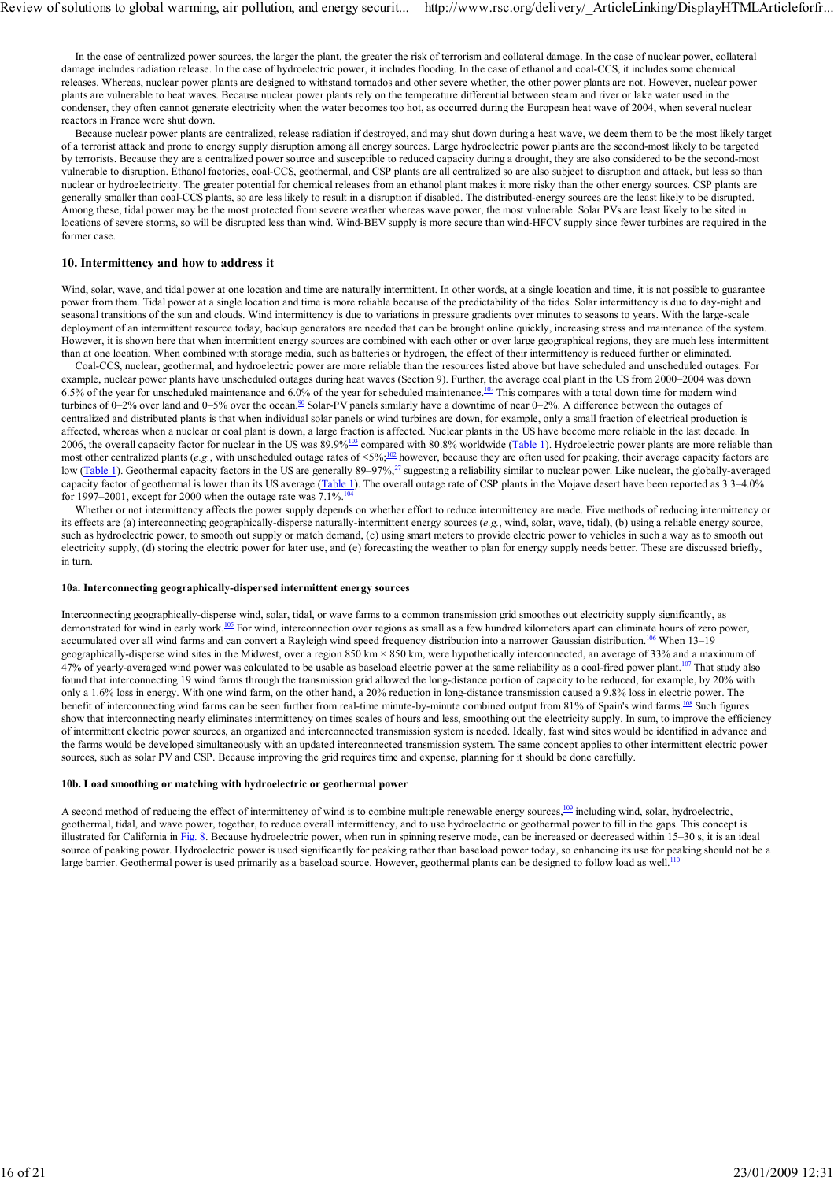In the case of centralized power sources, the larger the plant, the greater the risk of terrorism and collateral damage. In the case of nuclear power, collateral damage includes radiation release. In the case of hydroelectric power, it includes flooding. In the case of ethanol and coal-CCS, it includes some chemical releases. Whereas, nuclear power plants are designed to withstand tornados and other severe whether, the other power plants are not. However, nuclear power plants are vulnerable to heat waves. Because nuclear power plants rely on the temperature differential between steam and river or lake water used in the condenser, they often cannot generate electricity when the water becomes too hot, as occurred during the European heat wave of 2004, when several nuclear reactors in France were shut down.

Because nuclear power plants are centralized, release radiation if destroyed, and may shut down during a heat wave, we deem them to be the most likely target of a terrorist attack and prone to energy supply disruption among all energy sources. Large hydroelectric power plants are the second-most likely to be targeted by terrorists. Because they are a centralized power source and susceptible to reduced capacity during a drought, they are also considered to be the second-most vulnerable to disruption. Ethanol factories, coal-CCS, geothermal, and CSP plants are all centralized so are also subject to disruption and attack, but less so than nuclear or hydroelectricity. The greater potential for chemical releases from an ethanol plant makes it more risky than the other energy sources. CSP plants are generally smaller than coal-CCS plants, so are less likely to result in a disruption if disabled. The distributed-energy sources are the least likely to be disrupted. Among these, tidal power may be the most protected from severe weather whereas wave power, the most vulnerable. Solar PVs are least likely to be sited in locations of severe storms, so will be disrupted less than wind. Wind-BEV supply is more secure than wind-HFCV supply since fewer turbines are required in the former case.

# 10. Intermittency and how to address it

Wind, solar, wave, and tidal power at one location and time are naturally intermittent. In other words, at a single location and time, it is not possible to guarantee power from them. Tidal power at a single location and time is more reliable because of the predictability of the tides. Solar intermittency is due to day-night and seasonal transitions of the sun and clouds. Wind intermittency is due to variations in pressure gradients over minutes to seasons to years. With the large-scale deployment of an intermittent resource today, backup generators are needed that can be brought online quickly, increasing stress and maintenance of the system. However, it is shown here that when intermittent energy sources are combined with each other or over large geographical regions, they are much less intermittent than at one location. When combined with storage media, such as batteries or hydrogen, the effect of their intermittency is reduced further or eliminated.

Coal-CCS, nuclear, geothermal, and hydroelectric power are more reliable than the resources listed above but have scheduled and unscheduled outages. For example, nuclear power plants have unscheduled outages during heat waves (Section 9). Further, the average coal plant in the US from 2000–2004 was down 6.5% of the year for unscheduled maintenance and 6.0% of the year for scheduled maintenance.<sup>102</sup> This compares with a total down time for modern wind turbines of 0–2% over land and 0–5% over the ocean.<sup>90</sup> Solar-PV panels similarly have a downtime of near 0–2%. A difference between the outages of centralized and distributed plants is that when individual solar panels or wind turbines are down, for example, only a small fraction of electrical production is affected, whereas when a nuclear or coal plant is down, a large fraction is affected. Nuclear plants in the US have become more reliable in the last decade. In 2006, the overall capacity factor for nuclear in the US was  $89.9\%$ <sup>103</sup> compared with 80.8% worldwide (Table 1). Hydroelectric power plants are more reliable than most other centralized plants (e.g., with unscheduled outage rates of <5%;<sup>102</sup> however, because they are often used for peaking, their average capacity factors are low (Table 1). Geothermal capacity factors in the US are generally  $89-97\%$ ,<sup>27</sup> suggesting a reliability similar to nuclear power. Like nuclear, the globally-averaged low (Table 1). Geothermal capacity factors in the US capacity factor of geothermal is lower than its US average (Table 1). The overall outage rate of CSP plants in the Mojave desert have been reported as  $3.3-4.0\%$ for 1997–2001, except for 2000 when the outage rate was  $7.1\%$ .<sup>104</sup>

Whether or not intermittency affects the power supply depends on whether effort to reduce intermittency are made. Five methods of reducing intermittency or its effects are (a) interconnecting geographically-disperse naturally-intermittent energy sources (e.g., wind, solar, wave, tidal), (b) using a reliable energy source, such as hydroelectric power, to smooth out supply or match demand, (c) using smart meters to provide electric power to vehicles in such a way as to smooth out electricity supply, (d) storing the electric power for later use, and (e) forecasting the weather to plan for energy supply needs better. These are discussed briefly, in turn.

# 10a. Interconnecting geographically-dispersed intermittent energy sources

Interconnecting geographically-disperse wind, solar, tidal, or wave farms to a common transmission grid smoothes out electricity supply significantly, as demonstrated for wind in early work.<sup>105</sup> For wind, interconnection over regions as small as a few hundred kilometers apart can eliminate hours of zero power, accumulated over all wind farms and can convert a Rayleigh wind speed frequency distribution into a narrower Gaussian distribution.<sup>106</sup> When 13–19 geographically-disperse wind sites in the Midwest, over a region 850 km  $\times$  850 km, were hypothetically interconnected, an average of 33% and a maximum of 47% of yearly-averaged wind power was calculated to be usable as baseload electric power at the same reliability as a coal-fired power plant.<sup>107</sup> That study also found that interconnecting 19 wind farms through the transmission grid allowed the long-distance portion of capacity to be reduced, for example, by 20% with only a 1.6% loss in energy. With one wind farm, on the other hand, a 20% reduction in long-distance transmission caused a 9.8% loss in electric power. The benefit of interconnecting wind farms can be seen further from real-time minute-by-minute combined output from 81% of Spain's wind farms.<sup>108</sup> Such figures show that interconnecting nearly eliminates intermittency on times scales of hours and less, smoothing out the electricity supply. In sum, to improve the efficiency of intermittent electric power sources, an organized and interconnected transmission system is needed. Ideally, fast wind sites would be identified in advance and the farms would be developed simultaneously with an updated interconnected transmission system. The same concept applies to other intermittent electric power sources, such as solar PV and CSP. Because improving the grid requires time and expense, planning for it should be done carefully.

#### 10b. Load smoothing or matching with hydroelectric or geothermal power

A second method of reducing the effect of intermittency of wind is to combine multiple renewable energy sources, $\frac{109}{2}$  including wind, solar, hydroelectric, geothermal, tidal, and wave power, together, to reduce overall intermittency, and to use hydroelectric or geothermal power to fill in the gaps. This concept is illustrated for California in Fig. 8. Because hydroelectric power, when run in spinning reserve mode, can be increased or decreased within 15-30 s, it is an ideal source of peaking power. Hydroelectric power is used significantly for peaking rather than baseload power today, so enhancing its use for peaking should not be a large barrier. Geothermal power is used primarily as a baseload source. However, geothermal plants can be designed to follow load as well.<sup>110</sup>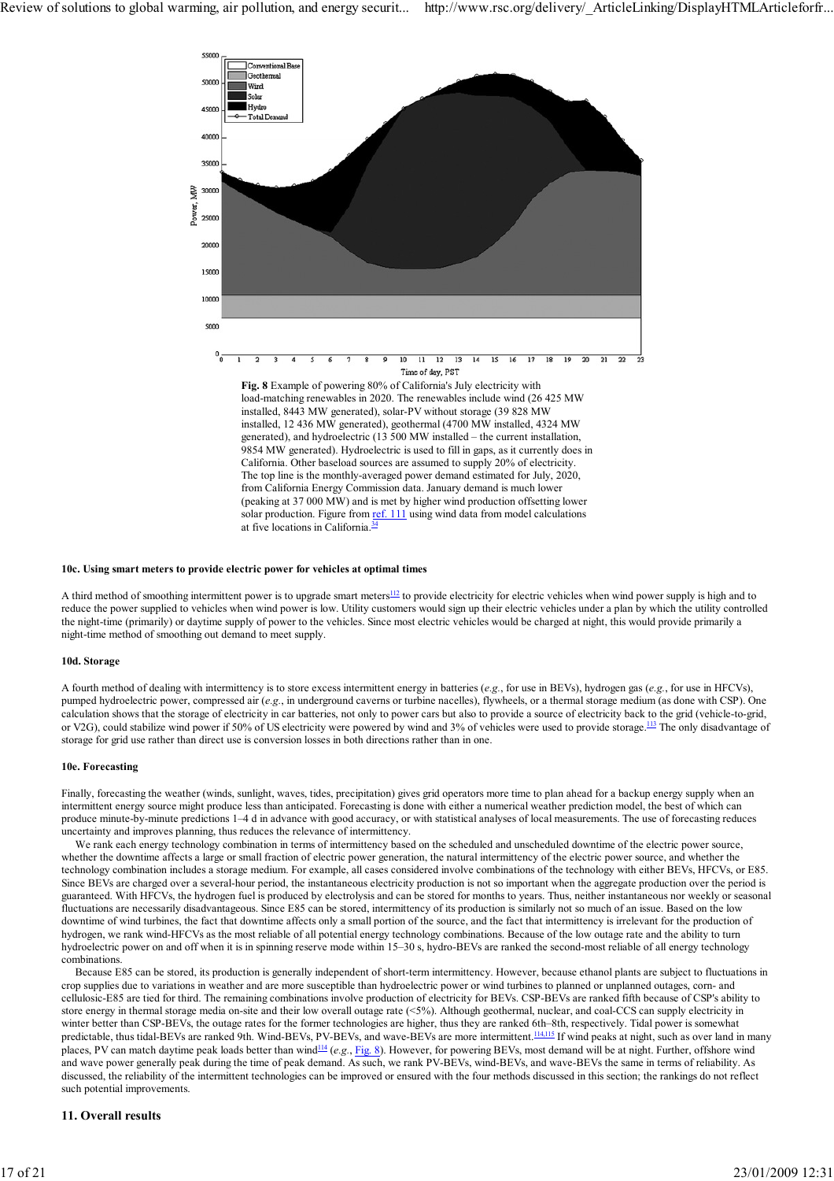

#### 10c. Using smart meters to provide electric power for vehicles at optimal times

A third method of smoothing intermittent power is to upgrade smart meters<sup>112</sup> to provide electricity for electric vehicles when wind power supply is high and to reduce the power supplied to vehicles when wind power is low. Utility customers would sign up their electric vehicles under a plan by which the utility controlled the night-time (primarily) or daytime supply of power to the vehicles. Since most electric vehicles would be charged at night, this would provide primarily a night-time method of smoothing out demand to meet supply.

#### 10d. Storage

A fourth method of dealing with intermittency is to store excess intermittent energy in batteries (e.g., for use in BEVs), hydrogen gas (e.g., for use in HFCVs), pumped hydroelectric power, compressed air  $(e.g.,$  in underground caverns or turbine nacelles), flywheels, or a thermal storage medium (as done with CSP). One calculation shows that the storage of electricity in car batteries, not only to power cars but also to provide a source of electricity back to the grid (vehicle-to-grid, or V2G), could stabilize wind power if 50% of US electricity were powered by wind and 3% of vehicles were used to provide storage.<sup>113</sup> The only disadvantage of storage for grid use rather than direct use is conversion losses in both directions rather than in one.

#### 10e. Forecasting

Finally, forecasting the weather (winds, sunlight, waves, tides, precipitation) gives grid operators more time to plan ahead for a backup energy supply when an intermittent energy source might produce less than anticipated. Forecasting is done with either a numerical weather prediction model, the best of which can produce minute-by-minute predictions 1–4 d in advance with good accuracy, or with statistical analyses of local measurements. The use of forecasting reduces uncertainty and improves planning, thus reduces the relevance of intermittency.

We rank each energy technology combination in terms of intermittency based on the scheduled and unscheduled downtime of the electric power source, whether the downtime affects a large or small fraction of electric power generation, the natural intermittency of the electric power source, and whether the technology combination includes a storage medium. For example, all cases considered involve combinations of the technology with either BEVs, HFCVs, or E85. Since BEVs are charged over a several-hour period, the instantaneous electricity production is not so important when the aggregate production over the period is guaranteed. With HFCVs, the hydrogen fuel is produced by electrolysis and can be stored for months to years. Thus, neither instantaneous nor weekly or seasonal fluctuations are necessarily disadvantageous. Since E85 can be stored, intermittency of its production is similarly not so much of an issue. Based on the low downtime of wind turbines, the fact that downtime affects only a small portion of the source, and the fact that intermittency is irrelevant for the production of hydrogen, we rank wind-HFCVs as the most reliable of all potential energy technology combinations. Because of the low outage rate and the ability to turn hydroelectric power on and off when it is in spinning reserve mode within 15–30 s, hydro-BEVs are ranked the second-most reliable of all energy technology combinations.

Because E85 can be stored, its production is generally independent of short-term intermittency. However, because ethanol plants are subject to fluctuations in crop supplies due to variations in weather and are more susceptible than hydroelectric power or wind turbines to planned or unplanned outages, corn- and cellulosic-E85 are tied for third. The remaining combinations involve production of electricity for BEVs. CSP-BEVs are ranked fifth because of CSP's ability to store energy in thermal storage media on-site and their low overall outage rate (<5%). Although geothermal, nuclear, and coal-CCS can supply electricity in winter better than CSP-BEVs, the outage rates for the former technologies are higher, thus they are ranked 6th–8th, respectively. Tidal power is somewhat predictable, thus tidal-BEVs are ranked 9th. Wind-BEVs, PV-BEVs, and wave-BEVs are more intermittent.<sup>114,115</sup> If wind peaks at night, such as over land in many predictable, thus tidal-BEVs are ranked 9th. Wind-BEVs, PV-BE places, PV can match daytime peak loads better than wind $\frac{114}{4}$  (e.g., Fig. 8). However, for powering BEVs, most demand will be at night. Further, offshore wind and wave power generally peak during the time of peak demand. As such, we rank PV-BEVs, wind-BEVs, and wave-BEVs the same in terms of reliability. As discussed, the reliability of the intermittent technologies can be improved or ensured with the four methods discussed in this section; the rankings do not reflect such potential improvements.

# 11. Overall results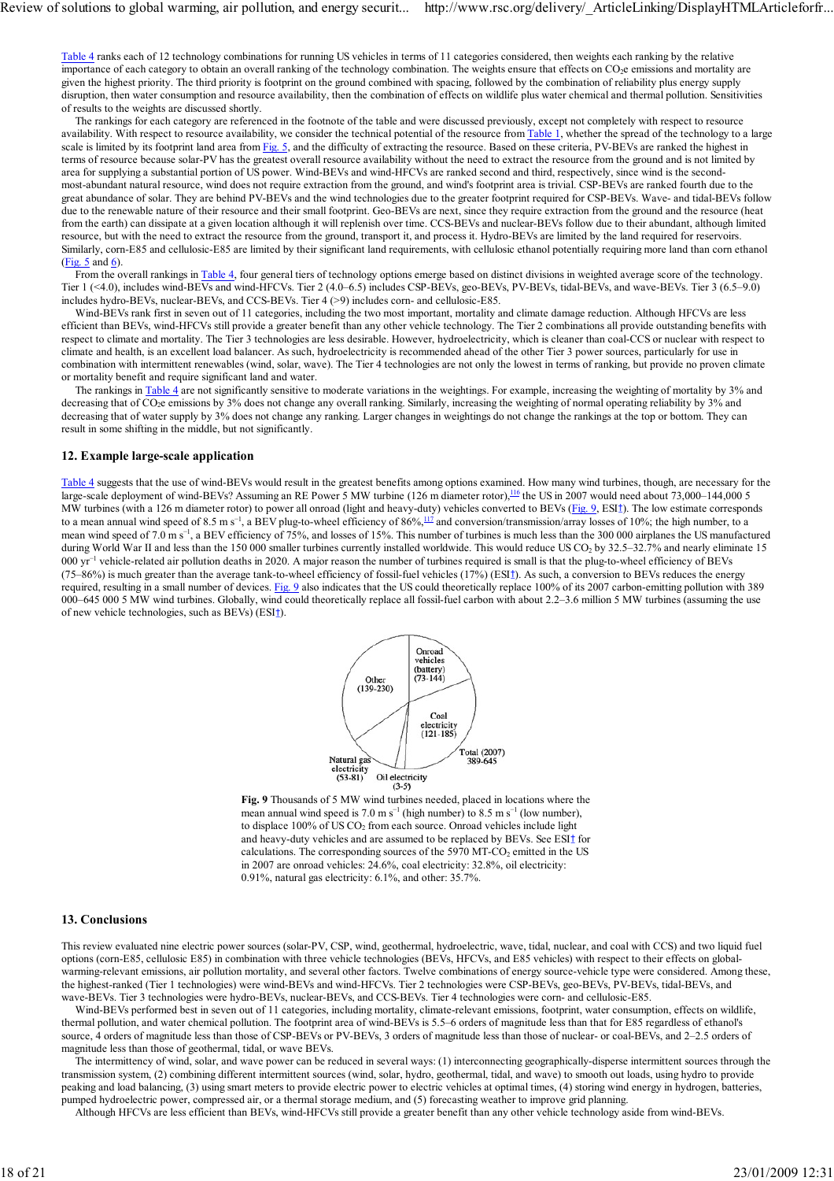Table 4 ranks each of 12 technology combinations for running US vehicles in terms of 11 categories considered, then weights each ranking by the relative importance of each category to obtain an overall ranking of the technology combination. The weights ensure that effects on CO<sub>2</sub>e emissions and mortality are given the highest priority. The third priority is footprint on the ground combined with spacing, followed by the combination of reliability plus energy supply disruption, then water consumption and resource availability, then the combination of effects on wildlife plus water chemical and thermal pollution. Sensitivities of results to the weights are discussed shortly.

The rankings for each category are referenced in the footnote of the table and were discussed previously, except not completely with respect to resource availability. With respect to resource availability, we consider the technical potential of the resource from Table 1, whether the spread of the technology to a large scale is limited by its footprint land area from Fig. 5, and the difficulty of extracting the resource. Based on these criteria, PV-BEVs are ranked the highest in terms of resource because solar-PV has the greatest overall resource availability without the need to extract the resource from the ground and is not limited by area for supplying a substantial portion of US power. Wind-BEVs and wind-HFCVs are ranked second and third, respectively, since wind is the secondmost-abundant natural resource, wind does not require extraction from the ground, and wind's footprint area is trivial. CSP-BEVs are ranked fourth due to the great abundance of solar. They are behind PV-BEVs and the wind technologies due to the greater footprint required for CSP-BEVs. Wave- and tidal-BEVs follow due to the renewable nature of their resource and their small footprint. Geo-BEVs are next, since they require extraction from the ground and the resource (heat from the earth) can dissipate at a given location although it will replenish over time. CCS-BEVs and nuclear-BEVs follow due to their abundant, although limited resource, but with the need to extract the resource from the ground, transport it, and process it. Hydro-BEVs are limited by the land required for reservoirs. Similarly, corn-E85 and cellulosic-E85 are limited by their significant land requirements, with cellulosic ethanol potentially requiring more land than corn ethanol  $(Fig. 5$  and  $6)$ .

From the overall rankings in Table 4, four general tiers of technology options emerge based on distinct divisions in weighted average score of the technology. Tier 1 (<4.0), includes wind-BEVs and wind-HFCVs. Tier 2 (4.0–6.5) includes CSP-BEVs, geo-BEVs, PV-BEVs, tidal-BEVs, and wave-BEVs. Tier 3 (6.5–9.0) includes hydro-BEVs, nuclear-BEVs, and CCS-BEVs. Tier 4 (>9) includes corn- and cellulosic-E85.

Wind-BEVs rank first in seven out of 11 categories, including the two most important, mortality and climate damage reduction. Although HFCVs are less efficient than BEVs, wind-HFCVs still provide a greater benefit than any other vehicle technology. The Tier 2 combinations all provide outstanding benefits with respect to climate and mortality. The Tier 3 technologies are less desirable. However, hydroelectricity, which is cleaner than coal-CCS or nuclear with respect to climate and health, is an excellent load balancer. As such, hydroelectricity is recommended ahead of the other Tier 3 power sources, particularly for use in combination with intermittent renewables (wind, solar, wave). The Tier 4 technologies are not only the lowest in terms of ranking, but provide no proven climate or mortality benefit and require significant land and water.

The rankings in Table 4 are not significantly sensitive to moderate variations in the weightings. For example, increasing the weighting of mortality by 3% and decreasing that of CO<sub>2</sub>e emissions by 3% does not change any overall ranking. Similarly, increasing the weighting of normal operating reliability by 3% and decreasing that of water supply by 3% does not change any ranking. Larger changes in weightings do not change the rankings at the top or bottom. They can result in some shifting in the middle, but not significantly.

# 12. Example large-scale application

Table 4 suggests that the use of wind-BEVs would result in the greatest benefits among options examined. How many wind turbines, though, are necessary for the large-scale deployment of wind-BEVs? Assuming an RE Power 5 MW turbine (126 m diameter rotor), 16 the US in 2007 would need about 73,000-144,000 5 MW turbines (with a 126 m diameter rotor) to power all onroad (light and heavy-duty) vehicles converted to BEVs (Fig. 9, ESI1). The low estimate corresponds to a mean annual wind speed of 8.5 m s<sup>-1</sup>, a BEV plug-to-wheel efficiency of 86%,<sup>117</sup> and conversion/transmission/array losses of 10%; the high number, to a mean wind speed of 7.0 m s<sup>-1</sup>, a BEV efficiency of 75%, and losses of 15%. This number of turbines is much less than the 300 000 airplanes the US manufactured during World War II and less than the 150 000 smaller turbines currently installed worldwide. This would reduce US CO<sub>2</sub> by 32.5–32.7% and nearly eliminate 15 000 yr−1 vehicle-related air pollution deaths in 2020. A major reason the number of turbines required is small is that the plug-to-wheel efficiency of BEVs (75–86%) is much greater than the average tank-to-wheel efficiency of fossil-fuel vehicles (17%) (ESI ). As such, a conversion to BEVs reduces the energy required, resulting in a small number of devices. Fig. 9 also indicates that the US could theoretically replace 100% of its 2007 carbon-emitting pollution with 389 000–645 000 5 MW wind turbines. Globally, wind could theoretically replace all fossil-fuel carbon with about 2.2–3.6 million 5 MW turbines (assuming the use of new vehicle technologies, such as BEVs) (ESI<sup>1</sup>).



Fig. 9 Thousands of 5 MW wind turbines needed, placed in locations where the mean annual wind speed is 7.0 m s<sup>-1</sup> (high number) to 8.5 m s<sup>-1</sup> (low number), to displace 100% of US CO<sub>2</sub> from each source. Onroad vehicles include light and heavy-duty vehicles and are assumed to be replaced by BEVs. See ESI<sup>t</sup> for calculations. The corresponding sources of the 5970 MT-CO<sub>2</sub> emitted in the US in 2007 are onroad vehicles: 24.6%, coal electricity: 32.8%, oil electricity: 0.91%, natural gas electricity: 6.1%, and other: 35.7%.

#### 13. Conclusions

This review evaluated nine electric power sources (solar-PV, CSP, wind, geothermal, hydroelectric, wave, tidal, nuclear, and coal with CCS) and two liquid fuel options (corn-E85, cellulosic E85) in combination with three vehicle technologies (BEVs, HFCVs, and E85 vehicles) with respect to their effects on globalwarming-relevant emissions, air pollution mortality, and several other factors. Twelve combinations of energy source-vehicle type were considered. Among these, the highest-ranked (Tier 1 technologies) were wind-BEVs and wind-HFCVs. Tier 2 technologies were CSP-BEVs, geo-BEVs, PV-BEVs, tidal-BEVs, and wave-BEVs. Tier 3 technologies were hydro-BEVs, nuclear-BEVs, and CCS-BEVs. Tier 4 technologies were corn- and cellulosic-E85.

Wind-BEVs performed best in seven out of 11 categories, including mortality, climate-relevant emissions, footprint, water consumption, effects on wildlife, thermal pollution, and water chemical pollution. The footprint area of wind-BEVs is 5.5–6 orders of magnitude less than that for E85 regardless of ethanol's source, 4 orders of magnitude less than those of CSP-BEVs or PV-BEVs, 3 orders of magnitude less than those of nuclear- or coal-BEVs, and 2–2.5 orders of magnitude less than those of geothermal, tidal, or wave BEVs.

The intermittency of wind, solar, and wave power can be reduced in several ways: (1) interconnecting geographically-disperse intermittent sources through the transmission system, (2) combining different intermittent sources (wind, solar, hydro, geothermal, tidal, and wave) to smooth out loads, using hydro to provide peaking and load balancing, (3) using smart meters to provide electric power to electric vehicles at optimal times, (4) storing wind energy in hydrogen, batteries, pumped hydroelectric power, compressed air, or a thermal storage medium, and (5) forecasting weather to improve grid planning.

Although HFCVs are less efficient than BEVs, wind-HFCVs still provide a greater benefit than any other vehicle technology aside from wind-BEVs.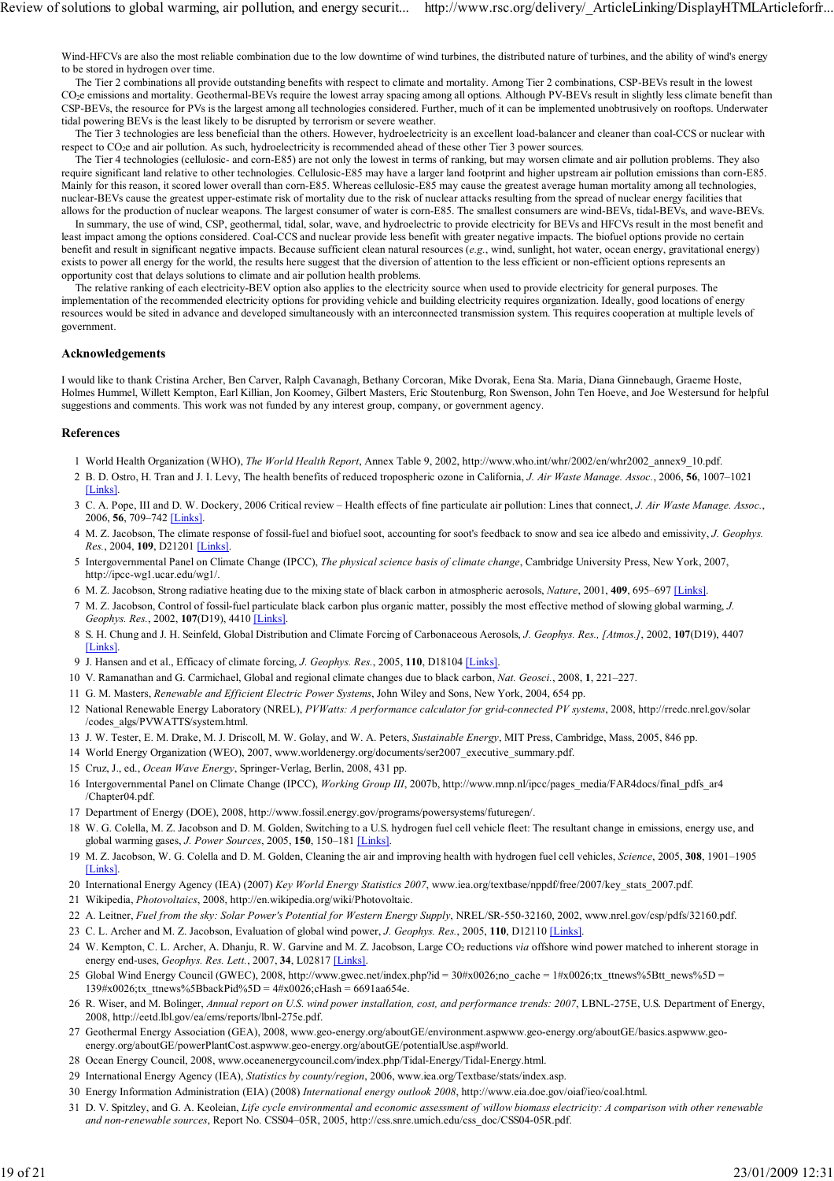Wind-HFCVs are also the most reliable combination due to the low downtime of wind turbines, the distributed nature of turbines, and the ability of wind's energy to be stored in hydrogen over time

The Tier 2 combinations all provide outstanding benefits with respect to climate and mortality. Among Tier 2 combinations, CSP-BEVs result in the lowest CO2e emissions and mortality. Geothermal-BEVs require the lowest array spacing among all options. Although PV-BEVs result in slightly less climate benefit than CSP-BEVs, the resource for PVs is the largest among all technologies considered. Further, much of it can be implemented unobtrusively on rooftops. Underwater tidal powering BEVs is the least likely to be disrupted by terrorism or severe weather.

The Tier 3 technologies are less beneficial than the others. However, hydroelectricity is an excellent load-balancer and cleaner than coal-CCS or nuclear with respect to CO<sub>2</sub>e and air pollution. As such, hydroelectricity is recommended ahead of these other Tier 3 power sources.

The Tier 4 technologies (cellulosic- and corn-E85) are not only the lowest in terms of ranking, but may worsen climate and air pollution problems. They also require significant land relative to other technologies. Cellulosic-E85 may have a larger land footprint and higher upstream air pollution emissions than corn-E85. Mainly for this reason, it scored lower overall than corn-E85. Whereas cellulosic-E85 may cause the greatest average human mortality among all technologies, nuclear-BEVs cause the greatest upper-estimate risk of mortality due to the risk of nuclear attacks resulting from the spread of nuclear energy facilities that allows for the production of nuclear weapons. The largest consumer of water is corn-E85. The smallest consumers are wind-BEVs, tidal-BEVs, and wave-BEVs.

In summary, the use of wind, CSP, geothermal, tidal, solar, wave, and hydroelectric to provide electricity for BEVs and HFCVs result in the most benefit and least impact among the options considered. Coal-CCS and nuclear provide less benefit with greater negative impacts. The biofuel options provide no certain benefit and result in significant negative impacts. Because sufficient clean natural resources (e.g., wind, sunlight, hot water, ocean energy, gravitational energy) exists to power all energy for the world, the results here suggest that the diversion of attention to the less efficient or non-efficient options represents an opportunity cost that delays solutions to climate and air pollution health problems.

The relative ranking of each electricity-BEV option also applies to the electricity source when used to provide electricity for general purposes. The implementation of the recommended electricity options for providing vehicle and building electricity requires organization. Ideally, good locations of energy resources would be sited in advance and developed simultaneously with an interconnected transmission system. This requires cooperation at multiple levels of government.

# Acknowledgements

I would like to thank Cristina Archer, Ben Carver, Ralph Cavanagh, Bethany Corcoran, Mike Dvorak, Eena Sta. Maria, Diana Ginnebaugh, Graeme Hoste, Holmes Hummel, Willett Kempton, Earl Killian, Jon Koomey, Gilbert Masters, Eric Stoutenburg, Ron Swenson, John Ten Hoeve, and Joe Westersund for helpful suggestions and comments. This work was not funded by any interest group, company, or government agency.

# References

- 1 World Health Organization (WHO), The World Health Report, Annex Table 9, 2002, http://www.who.int/whr/2002/en/whr2002\_annex9\_10.pdf.
- 2 B. D. Ostro, H. Tran and J. I. Levy, The health benefits of reduced tropospheric ozone in California, J. Air Waste Manage. Assoc., 2006, 56, 1007–1021 [Links].
- 3 C. A. Pope, III and D. W. Dockery, 2006 Critical review Health effects of fine particulate air pollution: Lines that connect, J. Air Waste Manage. Assoc., 2006, 56, 709–742 [Links].
- 4 M. Z. Jacobson, The climate response of fossil-fuel and biofuel soot, accounting for soot's feedback to snow and sea ice albedo and emissivity, J. Geophys. Res., 2004, 109, D21201 [Links].
- 5 Intergovernmental Panel on Climate Change (IPCC), The physical science basis of climate change, Cambridge University Press, New York, 2007, http://ipcc-wg1.ucar.edu/wg1/.
- 6 M. Z. Jacobson, Strong radiative heating due to the mixing state of black carbon in atmospheric aerosols, Nature, 2001, 409, 695–697 [Links].
- 7 M. Z. Jacobson, Control of fossil-fuel particulate black carbon plus organic matter, possibly the most effective method of slowing global warming, J. Geophys. Res., 2002, 107(D19), 4410 [Links].
- 8 S. H. Chung and J. H. Seinfeld, Global Distribution and Climate Forcing of Carbonaceous Aerosols, J. Geophys. Res., [Atmos.], 2002, 107(D19), 4407 [Links].
- 9 J. Hansen and et al., Efficacy of climate forcing, J. Geophys. Res., 2005, 110, D18104 [Links].
- 10 V. Ramanathan and G. Carmichael, Global and regional climate changes due to black carbon, Nat. Geosci., 2008, 1, 221–227.
- 11 G. M. Masters, Renewable and Efficient Electric Power Systems, John Wiley and Sons, New York, 2004, 654 pp.
- 12 National Renewable Energy Laboratory (NREL), PVWatts: A performance calculator for grid-connected PV systems, 2008, http://rredc.nrel.gov/solar /codes\_algs/PVWATTS/system.html.
- 13 J. W. Tester, E. M. Drake, M. J. Driscoll, M. W. Golay, and W. A. Peters, Sustainable Energy, MIT Press, Cambridge, Mass, 2005, 846 pp.
- 14 World Energy Organization (WEO), 2007, www.worldenergy.org/documents/ser2007\_executive\_summary.pdf.
- 15 Cruz, J., ed., Ocean Wave Energy, Springer-Verlag, Berlin, 2008, 431 pp.
- 16 Intergovernmental Panel on Climate Change (IPCC), Working Group III, 2007b, http://www.mnp.nl/ipcc/pages\_media/FAR4docs/final\_pdfs\_ar4 /Chapter04.pdf.
- 17 Department of Energy (DOE), 2008, http://www.fossil.energy.gov/programs/powersystems/futuregen/.
- 18 W. G. Colella, M. Z. Jacobson and D. M. Golden, Switching to a U.S. hydrogen fuel cell vehicle fleet: The resultant change in emissions, energy use, and global warming gases, J. Power Sources, 2005, 150, 150-181 [Links].
- 19 M. Z. Jacobson, W. G. Colella and D. M. Golden, Cleaning the air and improving health with hydrogen fuel cell vehicles, Science, 2005, 308, 1901-1905 [Links].
- 20 International Energy Agency (IEA) (2007) Key World Energy Statistics 2007, www.iea.org/textbase/nppdf/free/2007/key\_stats\_2007.pdf.
- 21 Wikipedia, Photovoltaics, 2008, http://en.wikipedia.org/wiki/Photovoltaic.
- 22 A. Leitner, Fuel from the sky: Solar Power's Potential for Western Energy Supply, NREL/SR-550-32160, 2002, www.nrel.gov/csp/pdfs/32160.pdf.
- 23 C. L. Archer and M. Z. Jacobson, Evaluation of global wind power, J. Geophys. Res., 2005, 110, D12110 [Links].
- 24 W. Kempton, C. L. Archer, A. Dhanju, R. W. Garvine and M. Z. Jacobson, Large CO<sub>2</sub> reductions via offshore wind power matched to inherent storage in energy end-uses, Geophys. Res. Lett., 2007, 34, L02817 [Links].
- 25 Global Wind Energy Council (GWEC), 2008, http://www.gwec.net/index.php?id = 30#x0026;no\_cache = 1#x0026;tx\_ttnews%5Btt\_news%5D =  $139\#x0026$ ;tx\_ttnews%5BbackPid%5D = 4#x0026;cHash = 6691aa654e.
- 26 R. Wiser, and M. Bolinger, Annual report on U.S. wind power installation, cost, and performance trends: 2007, LBNL-275E, U.S. Department of Energy, 2008, http://eetd.lbl.gov/ea/ems/reports/lbnl-275e.pdf.
- 27 Geothermal Energy Association (GEA), 2008, www.geo-energy.org/aboutGE/environment.aspwww.geo-energy.org/aboutGE/basics.aspwww.geoenergy.org/aboutGE/powerPlantCost.aspwww.geo-energy.org/aboutGE/potentialUse.asp#world.
- 28 Ocean Energy Council, 2008, www.oceanenergycouncil.com/index.php/Tidal-Energy/Tidal-Energy.html.
- 29 International Energy Agency (IEA), Statistics by county/region, 2006, www.iea.org/Textbase/stats/index.asp.
- 30 Energy Information Administration (EIA) (2008) International energy outlook 2008, http://www.eia.doe.gov/oiaf/ieo/coal.html.
- 31 D. V. Spitzley, and G. A. Keoleian, Life cycle environmental and economic assessment of willow biomass electricity: A comparison with other renewable and non-renewable sources, Report No. CSS04–05R, 2005, http://css.snre.umich.edu/css\_doc/CSS04-05R.pdf.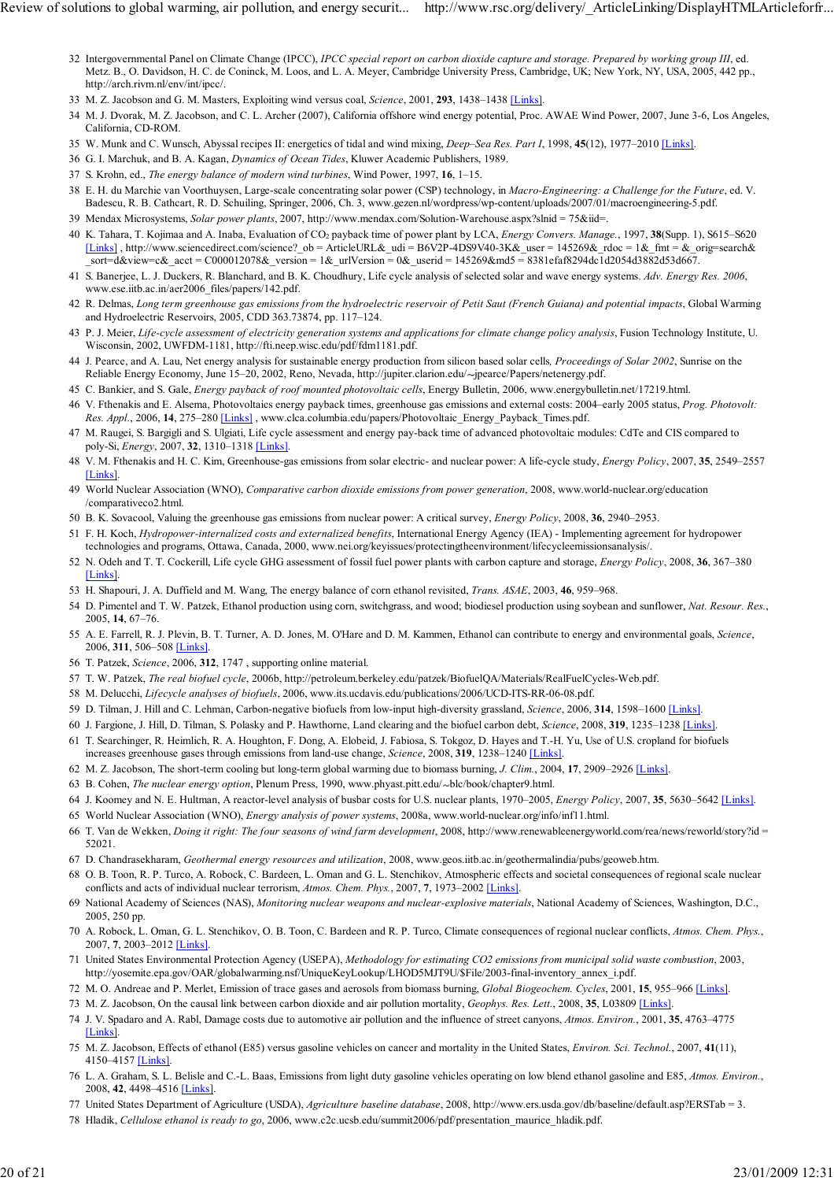- 32 Intergovernmental Panel on Climate Change (IPCC), IPCC special report on carbon dioxide capture and storage. Prepared by working group III, ed. Metz. B., O. Davidson, H. C. de Coninck, M. Loos, and L. A. Meyer, Cambridge University Press, Cambridge, UK; New York, NY, USA, 2005, 442 pp., http://arch.rivm.nl/env/int/ipcc/.
- 33 M. Z. Jacobson and G. M. Masters, Exploiting wind versus coal, Science, 2001, 293, 1438–1438 [Links].
- 34 M. J. Dvorak, M. Z. Jacobson, and C. L. Archer (2007), California offshore wind energy potential, Proc. AWAE Wind Power, 2007, June 3-6, Los Angeles, California, CD-ROM.
- 35 W. Munk and C. Wunsch, Abyssal recipes II: energetics of tidal and wind mixing, Deep–Sea Res. Part I, 1998, 45(12), 1977–2010 [Links].
- 36 G. I. Marchuk, and B. A. Kagan, Dynamics of Ocean Tides, Kluwer Academic Publishers, 1989.
- 37 S. Krohn, ed., The energy balance of modern wind turbines, Wind Power, 1997, 16, 1–15.
- 38 E. H. du Marchie van Voorthuysen, Large-scale concentrating solar power (CSP) technology, in Macro-Engineering: a Challenge for the Future, ed. V. Badescu, R. B. Cathcart, R. D. Schuiling, Springer, 2006, Ch. 3, www.gezen.nl/wordpress/wp-content/uploads/2007/01/macroengineering-5.pdf.
- 39 Mendax Microsystems, Solar power plants, 2007, http://www.mendax.com/Solution-Warehouse.aspx?slnid = 75&iid=.
- 40 K. Tahara, T. Kojimaa and A. Inaba, Evaluation of CO2 payback time of power plant by LCA, Energy Convers. Manage., 1997, 38(Supp. 1), S615–S620 [Links], http://www.sciencedirect.com/science?\_ob = ArticleURL&\_udi = B6V2P-4DS9V40-3K&\_user = 145269&\_rdoc = 1&\_fmt = &\_orig=search& sort=d&view=c& acct = C000012078& version = 1& urlVersion = 0& userid = 145269&md5 = 8381efaf8294dc1d2054d3882d53d667.
- 41 S. Banerjee, L. J. Duckers, R. Blanchard, and B. K. Choudhury, Life cycle analysis of selected solar and wave energy systems. Adv. Energy Res. 2006, www.ese.iitb.ac.in/aer2006\_files/papers/142.pdf.
- 42 R. Delmas, Long term greenhouse gas emissions from the hydroelectric reservoir of Petit Saut (French Guiana) and potential impacts, Global Warming and Hydroelectric Reservoirs, 2005, CDD 363.73874, pp. 117–124.
- 43 P. J. Meier, Life-cycle assessment of electricity generation systems and applications for climate change policy analysis, Fusion Technology Institute, U. Wisconsin, 2002, UWFDM-1181, http://fti.neep.wisc.edu/pdf/fdm1181.pdf.
- 44 J. Pearce, and A. Lau, Net energy analysis for sustainable energy production from silicon based solar cells, Proceedings of Solar 2002, Sunrise on the Reliable Energy Economy, June 15–20, 2002, Reno, Nevada, http://jupiter.clarion.edu/~jpearce/Papers/netenergy.pdf.
- 45 C. Bankier, and S. Gale, *Energy payback of roof mounted photovoltaic cells*, Energy Bulletin, 2006, www.energybulletin.net/17219.html.
- 46 V. Fthenakis and E. Alsema, Photovoltaics energy payback times, greenhouse gas emissions and external costs: 2004–early 2005 status, Prog. Photovolt: Res. Appl., 2006, 14, 275-280 [Links], www.clca.columbia.edu/papers/Photovoltaic\_Energy\_Payback\_Times.pdf.
- 47 M. Raugei, S. Bargigli and S. Ulgiati, Life cycle assessment and energy pay-back time of advanced photovoltaic modules: CdTe and CIS compared to poly-Si, Energy, 2007, 32, 1310–1318 [Links].
- 48 V. M. Fthenakis and H. C. Kim, Greenhouse-gas emissions from solar electric- and nuclear power: A life-cycle study, *Energy Policy*, 2007, 35, 2549–2557 [Links].
- 49 World Nuclear Association (WNO), Comparative carbon dioxide emissions from power generation, 2008, www.world-nuclear.org/education /comparativeco2.html.
- 50 B. K. Sovacool, Valuing the greenhouse gas emissions from nuclear power: A critical survey, Energy Policy, 2008, 36, 2940–2953.
- 51 F. H. Koch, Hydropower-internalized costs and externalized benefits, International Energy Agency (IEA) Implementing agreement for hydropower technologies and programs, Ottawa, Canada, 2000, www.nei.org/keyissues/protectingtheenvironment/lifecycleemissionsanalysis/.
- 52 N. Odeh and T. T. Cockerill, Life cycle GHG assessment of fossil fuel power plants with carbon capture and storage, Energy Policy, 2008, 36, 367-380 [Links].
- 53 H. Shapouri, J. A. Duffield and M. Wang, The energy balance of corn ethanol revisited, Trans. ASAE, 2003, 46, 959–968.
- 54 D. Pimentel and T. W. Patzek, Ethanol production using corn, switchgrass, and wood; biodiesel production using soybean and sunflower, Nat. Resour. Res., 2005, 14, 67–76.
- 55 A. E. Farrell, R. J. Plevin, B. T. Turner, A. D. Jones, M. O'Hare and D. M. Kammen, Ethanol can contribute to energy and environmental goals, Science, 2006, 311, 506–508 [Links].
- 56 T. Patzek, Science, 2006, 312, 1747 , supporting online material.
- 57 T. W. Patzek, The real biofuel cycle, 2006b, http://petroleum.berkeley.edu/patzek/BiofuelQA/Materials/RealFuelCycles-Web.pdf.
- 58 M. Delucchi, Lifecycle analyses of biofuels, 2006, www.its.ucdavis.edu/publications/2006/UCD-ITS-RR-06-08.pdf.
- 59 D. Tilman, J. Hill and C. Lehman, Carbon-negative biofuels from low-input high-diversity grassland, Science, 2006, 314, 1598–1600 [Links].
- 60 J. Fargione, J. Hill, D. Tilman, S. Polasky and P. Hawthorne, Land clearing and the biofuel carbon debt, Science, 2008, 319, 1235–1238 [Links].
- 61 T. Searchinger, R. Heimlich, R. A. Houghton, F. Dong, A. Elobeid, J. Fabiosa, S. Tokgoz, D. Hayes and T.-H. Yu, Use of U.S. cropland for biofuels increases greenhouse gases through emissions from land-use change, Science, 2008, 319, 1238–1240 [Links].
- 62 M. Z. Jacobson, The short-term cooling but long-term global warming due to biomass burning, J. Clim., 2004, 17, 2909–2926 [Links].
- 63 B. Cohen, The nuclear energy option, Plenum Press, 1990, www.phyast.pitt.edu/~blc/book/chapter9.html.
- 64 J. Koomey and N. E. Hultman, A reactor-level analysis of busbar costs for U.S. nuclear plants, 1970–2005, Energy Policy, 2007, 35, 5630–5642 [Links].
- 65 World Nuclear Association (WNO), Energy analysis of power systems, 2008a, www.world-nuclear.org/info/inf11.html.
- 66 T. Van de Wekken, Doing it right: The four seasons of wind farm development, 2008, http://www.renewableenergyworld.com/rea/news/reworld/story?id = 52021.
- 67 D. Chandrasekharam, Geothermal energy resources and utilization, 2008, www.geos.iitb.ac.in/geothermalindia/pubs/geoweb.htm.
- 68 O. B. Toon, R. P. Turco, A. Robock, C. Bardeen, L. Oman and G. L. Stenchikov, Atmospheric effects and societal consequences of regional scale nuclear conflicts and acts of individual nuclear terrorism, Atmos. Chem. Phys., 2007, 7, 1973–2002 [Links].
- 69 National Academy of Sciences (NAS), Monitoring nuclear weapons and nuclear-explosive materials, National Academy of Sciences, Washington, D.C., 2005, 250 pp.
- 70 A. Robock, L. Oman, G. L. Stenchikov, O. B. Toon, C. Bardeen and R. P. Turco, Climate consequences of regional nuclear conflicts, Atmos. Chem. Phys., 2007, 7, 2003–2012 [Links].
- 71 United States Environmental Protection Agency (USEPA), Methodology for estimating CO2 emissions from municipal solid waste combustion, 2003, http://yosemite.epa.gov/OAR/globalwarming.nsf/UniqueKeyLookup/LHOD5MJT9U/\$File/2003-final-inventory\_annex\_i.pdf.
- 72 M. O. Andreae and P. Merlet, Emission of trace gases and aerosols from biomass burning, Global Biogeochem. Cycles, 2001, 15, 955–966 [Links].
- 73 M. Z. Jacobson, On the causal link between carbon dioxide and air pollution mortality, Geophys. Res. Lett., 2008, 35, L03809 [Links].
- 74 J. V. Spadaro and A. Rabl, Damage costs due to automotive air pollution and the influence of street canyons, Atmos. Environ., 2001, 35, 4763-4775 [Links].
- 75 M. Z. Jacobson, Effects of ethanol (E85) versus gasoline vehicles on cancer and mortality in the United States, Environ. Sci. Technol., 2007, 41(11), 4150–4157 [Links].
- 76 L. A. Graham, S. L. Belisle and C.-L. Baas, Emissions from light duty gasoline vehicles operating on low blend ethanol gasoline and E85, Atmos. Environ., 2008, 42, 4498–4516 [Links].
- 77 United States Department of Agriculture (USDA), Agriculture baseline database, 2008, http://www.ers.usda.gov/db/baseline/default.asp?ERSTab = 3.
- 78 Hladik, Cellulose ethanol is ready to go, 2006, www.c2c.ucsb.edu/summit2006/pdf/presentation\_maurice\_hladik.pdf.